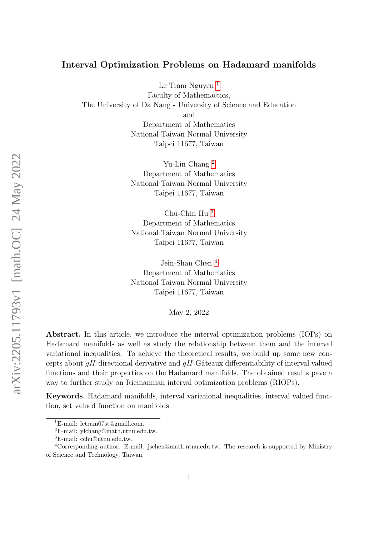#### Interval Optimization Problems on Hadamard manifolds

Le Tram Nguyen<sup>[1](#page-0-0)</sup>

Faculty of Mathemactics, The University of Da Nang - University of Science and Education and Department of Mathematics National Taiwan Normal University Taipei 11677, Taiwan

> Yu-Lin Chang [2](#page-0-1) Department of Mathematics National Taiwan Normal University Taipei 11677, Taiwan

> Chu-Chin Hu [3](#page-0-2) Department of Mathematics National Taiwan Normal University Taipei 11677, Taiwan

> Jein-Shan Chen [4](#page-0-3) Department of Mathematics National Taiwan Normal University Taipei 11677, Taiwan

> > May 2, 2022

Abstract. In this article, we introduce the interval optimization problems (IOPs) on Hadamard manifolds as well as study the relationship between them and the interval variational inequalities. To achieve the theoretical results, we build up some new concepts about  $gH$ -directional derivative and  $gH$ -Gâteaux differentiability of interval valued functions and their properties on the Hadamard manifolds. The obtained results pave a way to further study on Riemannian interval optimization problems (RIOPs).

Keywords. Hadamard manifolds, interval variational inequalities, interval valued function, set valued function on manifolds.

<span id="page-0-0"></span><sup>1</sup>E-mail: letram07st@gmail.com.

<span id="page-0-1"></span> ${}^{2}E$ -mail: ylchang@math.ntnu.edu.tw.

<span id="page-0-3"></span><span id="page-0-2"></span><sup>3</sup>E-mail: cchu@ntnu.edu.tw.

<sup>&</sup>lt;sup>4</sup>Corresponding author. E-mail: jschen@math.ntnu.edu.tw. The research is supported by Ministry of Science and Technology, Taiwan.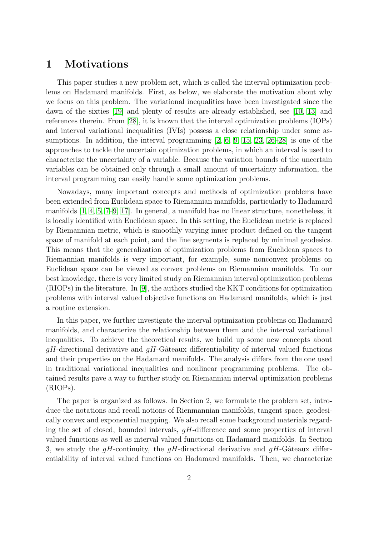#### 1 Motivations

This paper studies a new problem set, which is called the interval optimization problems on Hadamard manifolds. First, as below, we elaborate the motivation about why we focus on this problem. The variational inequalities have been investigated since the dawn of the sixties [\[19\]](#page-26-0) and plenty of results are already established, see [\[10,](#page-26-1) [13\]](#page-26-2) and references therein. From [\[28\]](#page-27-0), it is known that the interval optimization problems (IOPs) and interval variational inequalities (IVIs) possess a close relationship under some assumptions. In addition, the interval programming  $[2, 6, 9, 15, 23, 26-28]$  $[2, 6, 9, 15, 23, 26-28]$  $[2, 6, 9, 15, 23, 26-28]$  $[2, 6, 9, 15, 23, 26-28]$  $[2, 6, 9, 15, 23, 26-28]$  $[2, 6, 9, 15, 23, 26-28]$  $[2, 6, 9, 15, 23, 26-28]$  is one of the approaches to tackle the uncertain optimization problems, in which an interval is used to characterize the uncertainty of a variable. Because the variation bounds of the uncertain variables can be obtained only through a small amount of uncertainty information, the interval programming can easily handle some optimization problems.

Nowadays, many important concepts and methods of optimization problems have been extended from Euclidean space to Riemannian manifolds, particularly to Hadamard manifolds [\[1,](#page-25-2) [4,](#page-25-3) [5,](#page-25-4) [7](#page-25-5)[–9,](#page-26-3) [17\]](#page-26-6). In general, a manifold has no linear structure, nonetheless, it is locally identified with Euclidean space. In this setting, the Euclidean metric is replaced by Riemannian metric, which is smoothly varying inner product defined on the tangent space of manifold at each point, and the line segments is replaced by minimal geodesics. This means that the generalization of optimization problems from Euclidean spaces to Riemannian manifolds is very important, for example, some nonconvex problems on Euclidean space can be viewed as convex problems on Riemannian manifolds. To our best knowledge, there is very limited study on Riemannian interval optimization problems (RIOPs) in the literature. In [\[9\]](#page-26-3), the authors studied the KKT conditions for optimization problems with interval valued objective functions on Hadamard manifolds, which is just a routine extension.

In this paper, we further investigate the interval optimization problems on Hadamard manifolds, and characterize the relationship between them and the interval variational inequalities. To achieve the theoretical results, we build up some new concepts about  $gH$ -directional derivative and  $gH$ -Gâteaux differentiability of interval valued functions and their properties on the Hadamard manifolds. The analysis differs from the one used in traditional variational inequalities and nonlinear programming problems. The obtained results pave a way to further study on Riemannian interval optimization problems (RIOPs).

The paper is organized as follows. In Section 2, we formulate the problem set, introduce the notations and recall notions of Rienmannian manifolds, tangent space, geodesically convex and exponential mapping. We also recall some background materials regarding the set of closed, bounded intervals,  $qH$ -difference and some properties of interval valued functions as well as interval valued functions on Hadamard manifolds. In Section 3, we study the  $qH$ -continuity, the  $qH$ -directional derivative and  $qH$ -Gâteaux differentiability of interval valued functions on Hadamard manifolds. Then, we characterize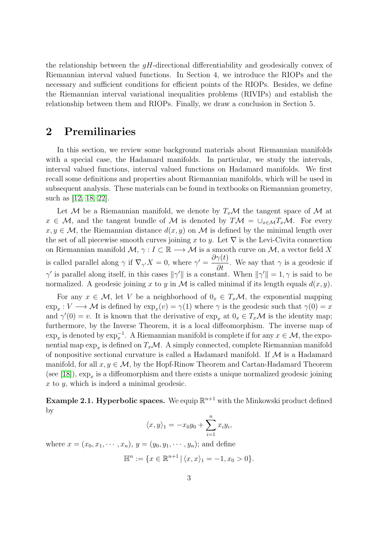the relationship between the  $gH$ -directional differentiability and geodesically convex of Riemannian interval valued functions. In Section 4, we introduce the RIOPs and the necessary and sufficient conditions for efficient points of the RIOPs. Besides, we define the Riemannian interval variational inequalities problems (RIVIPs) and establish the relationship between them and RIOPs. Finally, we draw a conclusion in Section 5.

### 2 Premilinaries

In this section, we review some background materials about Riemannian manifolds with a special case, the Hadamard manifolds. In particular, we study the intervals, interval valued functions, interval valued functions on Hadamard manifolds. We first recall some definitions and properties about Riemannian manifolds, which will be used in subsequent analysis. These materials can be found in textbooks on Riemannian geometry, such as [\[12,](#page-26-7) [18,](#page-26-8) [22\]](#page-26-9).

Let M be a Riemannian manifold, we denote by  $T_x\mathcal{M}$  the tangent space of M at  $x \in \mathcal{M}$ , and the tangent bundle of M is denoted by  $T\mathcal{M} = \bigcup_{x \in \mathcal{M}} T_x\mathcal{M}$ . For every  $x, y \in \mathcal{M}$ , the Riemannian distance  $d(x, y)$  on M is defined by the minimal length over the set of all piecewise smooth curves joining x to y. Let  $\nabla$  is the Levi-Civita connection on Riemannian manifold  $M$ ,  $\gamma: I \subset \mathbb{R} \longrightarrow M$  is a smooth curve on  $M$ , a vector field X is called parallel along  $\gamma$  if  $\nabla_{\gamma'} X = 0$ , where  $\gamma' = \frac{\partial \gamma(t)}{\partial t}$  $\frac{\partial^{\pi}}{\partial t}$ . We say that  $\gamma$  is a geodesic if  $\gamma'$  is parallel along itself, in this cases  $\|\gamma'\|$  is a constant. When  $\|\gamma'\|=1, \gamma$  is said to be normalized. A geodesic joining x to y in M is called minimal if its length equals  $d(x, y)$ .

For any  $x \in \mathcal{M}$ , let V be a neighborhood of  $0_x \in T_x\mathcal{M}$ , the exponential mapping  $\exp_x: V \longrightarrow \mathcal{M}$  is defined by  $\exp_x(v) = \gamma(1)$  where  $\gamma$  is the geodesic such that  $\gamma(0) = x$ and  $\gamma'(0) = v$ . It is known that the derivative of  $\exp_x$  at  $0_x \in T_x\mathcal{M}$  is the identity map; furthermore, by the Inverse Theorem, it is a local diffeomorphism. The inverse map of  $\exp_x$  is denoted by  $\exp_x^{-1}$ . A Riemannian manifold is complete if for any  $x \in \mathcal{M}$ , the exponential map  $\exp_x$  is defined on  $T_x\mathcal{M}$ . A simply connected, complete Riemannian manifold of nonpositive sectional curvature is called a Hadamard manifold. If  $\mathcal M$  is a Hadamard manifold, for all  $x, y \in \mathcal{M}$ , by the Hopf-Rinow Theorem and Cartan-Hadamard Theorem (see [\[18\]](#page-26-8)),  $\exp_x$  is a diffeomorphism and there exists a unique normalized geodesic joining  $x$  to  $y$ , which is indeed a minimal geodesic.

**Example 2.1. Hyperbolic spaces.** We equip  $\mathbb{R}^{n+1}$  with the Minkowski product defined by

$$
\langle x, y \rangle_1 = -x_0 y_0 + \sum_{i=1}^n x_i y_i,
$$

where  $x = (x_0, x_1, \dots, x_n), y = (y_0, y_1, \dots, y_n)$ ; and define

$$
\mathbb{H}^n := \{ x \in \mathbb{R}^{n+1} \, | \, \langle x, x \rangle_1 = -1, x_0 > 0 \}.
$$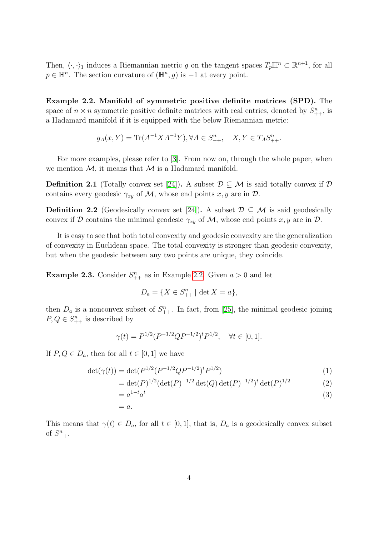Then,  $\langle \cdot, \cdot \rangle_1$  induces a Riemannian metric g on the tangent spaces  $T_p \mathbb{H}^n \subset \mathbb{R}^{n+1}$ , for all  $p \in \mathbb{H}^n$ . The section curvature of  $(\mathbb{H}^n, g)$  is  $-1$  at every point.

<span id="page-3-0"></span>Example 2.2. Manifold of symmetric positive definite matrices (SPD). The space of  $n \times n$  symmetric positive definite matrices with real entries, denoted by  $S_{++}^n$ , is a Hadamard manifold if it is equipped with the below Riemannian metric:

$$
g_A(x,Y) = \text{Tr}(A^{-1}XA^{-1}Y), \forall A \in S_{++}^n, \quad X, Y \in T_A S_{++}^n.
$$

For more examples, please refer to [\[3\]](#page-25-6). From now on, through the whole paper, when we mention  $M$ , it means that  $M$  is a Hadamard manifold.

**Definition 2.1** (Totally convex set [\[24\]](#page-27-2)). A subset  $\mathcal{D} \subseteq \mathcal{M}$  is said totally convex if  $\mathcal{D}$ contains every geodesic  $\gamma_{xy}$  of M, whose end points x, y are in D.

**Definition 2.2** (Geodesically convex set [\[24\]](#page-27-2)). A subset  $\mathcal{D} \subseteq \mathcal{M}$  is said geodesically convex if D contains the minimal geodesic  $\gamma_{xy}$  of M, whose end points x, y are in D.

It is easy to see that both total convexity and geodesic convexity are the generalization of convexity in Euclidean space. The total convexity is stronger than geodesic convexity, but when the geodesic between any two points are unique, they coincide.

**Example 2.3.** Consider  $S_{++}^n$  as in Example [2.2.](#page-3-0) Given  $a > 0$  and let

$$
D_a = \{ X \in S_{++}^n \mid \det X = a \},\
$$

then  $D_a$  is a nonconvex subset of  $S_{++}^n$ . In fact, from [\[25\]](#page-27-3), the minimal geodesic joining  $P, Q \in S_{++}^n$  is described by

$$
\gamma(t) = P^{1/2} (P^{-1/2} Q P^{-1/2})^t P^{1/2}, \quad \forall t \in [0, 1].
$$

If  $P, Q \in D_a$ , then for all  $t \in [0, 1]$  we have

$$
\det(\gamma(t)) = \det(P^{1/2}(P^{-1/2}QP^{-1/2})^tP^{1/2})\tag{1}
$$

$$
= \det(P)^{1/2} (\det(P)^{-1/2} \det(Q) \det(P)^{-1/2})^t \det(P)^{1/2}
$$
 (2)

$$
=a^{1-t}a^t
$$
\n<sup>(3)</sup>

$$
= a.
$$

This means that  $\gamma(t) \in D_a$ , for all  $t \in [0,1]$ , that is,  $D_a$  is a geodesically convex subset of  $S_{++}^n$ .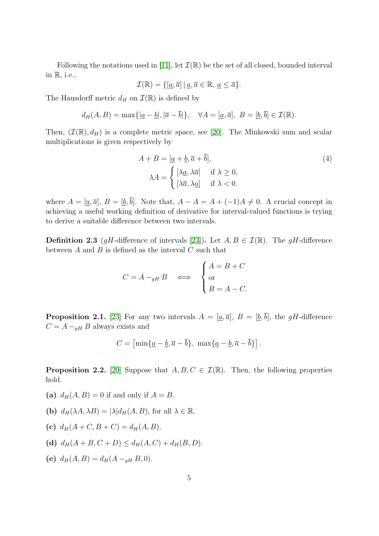Following the notations used in [\[11\]](#page-26-10), let  $\mathcal{I}(\mathbb{R})$  be the set of all closed, bounded interval in R, i.e.,

$$
\mathcal{I}(\mathbb{R}) = \{ [\underline{a}, \overline{a}] \mid \underline{a}, \overline{a} \in \mathbb{R}, \underline{a} \le \overline{a} \}.
$$

The Hausdorff metric  $d_H$  on  $\mathcal{I}(\mathbb{R})$  is defined by

$$
d_H(A, B) = \max\{|\underline{a} - \underline{b}|, |\overline{a} - \overline{b}|\}, \quad \forall A = [\underline{a}, \overline{a}], B = [\underline{b}, \overline{b}] \in \mathcal{I}(\mathbb{R}).
$$

Then,  $(\mathcal{I}(\mathbb{R}), d_H)$  is a complete metric space, see [\[20\]](#page-26-11). The Minkowski sum and scalar multiplications is given respectively by

$$
A + B = [\underline{a} + \underline{b}, \overline{a} + \overline{b}],
$$
  
\n
$$
\lambda A = \begin{cases} [\lambda \underline{a}, \lambda \overline{a}] & \text{if } \lambda \ge 0, \\ [\lambda \overline{a}, \lambda \underline{a}] & \text{if } \lambda < 0. \end{cases}
$$
\n(4)

where  $A = [\underline{a}, \overline{a}], B = [\underline{b}, \overline{b}].$  Note that,  $A - A = A + (-1)A \neq 0$ . A crucial concept in achieving a useful working definition of derivative for interval-valued functions is trying to derive a suitable difference between two intervals.

**Definition 2.3** (gH-difference of intervals [\[23\]](#page-26-5)). Let  $A, B \in \mathcal{I}(\mathbb{R})$ . The gH-difference between  $A$  and  $B$  is defined as the interval  $C$  such that

$$
C = A -_{gH} B \iff \begin{cases} A = B + C \\ \text{or} \\ B = A - C. \end{cases}
$$

**Proposition 2.1.** [\[23\]](#page-26-5) For any two intervals  $A = [\underline{a}, \overline{a}], B = [\underline{b}, \overline{b}],$  the gH-difference  $C = A -_{gH} B$  always exists and

$$
C = \left[\min\{\underline{a} - \underline{b}, \overline{a} - \overline{b}\}, \ \max\{\underline{a} - \underline{b}, \overline{a} - \overline{b}\}\right].
$$

<span id="page-4-0"></span>**Proposition 2.2.** [\[20\]](#page-26-11) Suppose that  $A, B, C \in \mathcal{I}(\mathbb{R})$ . Then, the following properties hold.

- (a)  $d_H(A, B) = 0$  if and only if  $A = B$ .
- (b)  $d_H(\lambda A, \lambda B) = |\lambda| d_H(A, B)$ , for all  $\lambda \in \mathbb{R}$ .
- (c)  $d_H(A+C, B+C) = d_H(A, B)$ .
- (d)  $d_H(A + B, C + D) \leq d_H(A, C) + d_H(B, D).$
- (e)  $d_H(A, B) = d_H(A a_H B, 0).$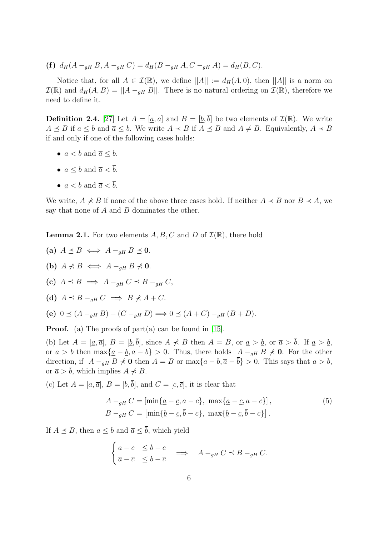(f)  $d_H(A - q_H B, A - q_H C) = d_H(B - q_H A, C - q_H A) = d_H(B, C).$ 

Notice that, for all  $A \in \mathcal{I}(\mathbb{R})$ , we define  $||A|| := d_H(A, 0)$ , then  $||A||$  is a norm on  $\mathcal{I}(\mathbb{R})$  and  $d_H(A, B) = ||A - a_H B||$ . There is no natural ordering on  $\mathcal{I}(\mathbb{R})$ , therefore we need to define it.

<span id="page-5-1"></span>**Definition 2.4.** [\[27\]](#page-27-4) Let  $A = [a, \overline{a}]$  and  $B = [b, \overline{b}]$  be two elements of  $\mathcal{I}(\mathbb{R})$ . We write  $A \preceq B$  if  $\underline{a} \leq \underline{b}$  and  $\overline{a} \leq \overline{b}$ . We write  $A \prec B$  if  $A \preceq B$  and  $A \neq B$ . Equivalently,  $A \prec B$ if and only if one of the following cases holds:

- $a < b$  and  $\overline{a} < \overline{b}$ .
- $a \leq b$  and  $\overline{a} \leq \overline{b}$ .
- $a < b$  and  $\overline{a} < \overline{b}$ .

We write,  $A \nless B$  if none of the above three cases hold. If neither  $A \prec B$  nor  $B \prec A$ , we say that none of  $A$  and  $B$  dominates the other.

<span id="page-5-0"></span>**Lemma 2.1.** For two elements A, B, C and D of  $\mathcal{I}(\mathbb{R})$ , there hold

(a) 
$$
A \preceq B \iff A -_{gH} B \preceq 0
$$
.  
(b)  $A \nprec B \iff A -_{gH} B \nprec 0$ .

- (c)  $A \preceq B \implies A -_{qH} C \preceq B -_{qH} C$ ,
- (d)  $A \preceq B -_{qH} C \implies B \nprec A + C$ .

(e)  $0 \prec (A -_{gH} B) + (C -_{gH} D) \Longrightarrow 0 \prec (A + C) -_{gH} (B + D).$ 

**Proof.** (a) The proofs of part(a) can be found in [\[15\]](#page-26-4).

(b) Let  $A = [\underline{a}, \overline{a}], B = [\underline{b}, \overline{b}],$  since  $A \nprec B$  then  $A = B$ , or  $\underline{a} > \underline{b}$ , or  $\overline{a} > \overline{b}$ . If  $\underline{a} > \underline{b}$ , or  $\bar{a} > \bar{b}$  then  $\max\{\underline{a} - \underline{b}, \bar{a} - \bar{b}\} > 0$ . Thus, there holds  $A -_{qH} B \nless 0$ . For the other direction, if  $A -_{gH} B \nless 0$  then  $A = B$  or  $\max\{\underline{a} - \underline{b}, \overline{a} - \overline{b}\} > 0$ . This says that  $\underline{a} > \underline{b}$ , or  $\overline{a} > \overline{b}$ , which implies  $A \nless B$ .

(c) Let  $A = [\underline{a}, \overline{a}], B = [\underline{b}, \overline{b}],$  and  $C = [\underline{c}, \overline{c}],$  it is clear that

$$
A -_{gH} C = \left[\min\{\underline{a} - \underline{c}, \overline{a} - \overline{c}\}, \max\{\underline{a} - \underline{c}, \overline{a} - \overline{c}\}\right],
$$
  
\n
$$
B -_{gH} C = \left[\min\{\underline{b} - \underline{c}, \overline{b} - \overline{c}\}, \max\{\underline{b} - \underline{c}, \overline{b} - \overline{c}\}\right].
$$
\n(5)

If  $A \preceq B$ , then  $a \leq b$  and  $\overline{a} \leq \overline{b}$ , which yield

$$
\begin{cases} \underline{a} - \underline{c} & \leq \underline{b} - \underline{c} \\ \overline{a} - \overline{c} & \leq \overline{b} - \overline{c} \end{cases} \implies A -_{gH} C \preceq B -_{gH} C.
$$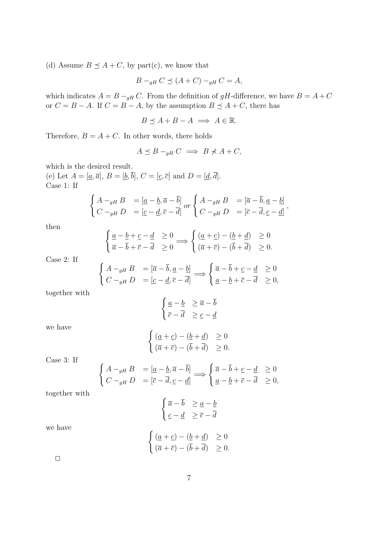(d) Assume  $B \preceq A + C$ , by part(c), we know that

$$
B -_{gH} C \preceq (A + C) -_{gH} C = A,
$$

which indicates  $A = B - g_H C$ . From the definition of gH-difference, we have  $B = A + C$ or  $C = B - A$ . If  $C = B - A$ , by the assumption  $B \preceq A + C$ , there has

$$
B \preceq A + B - A \implies A \in \mathbb{R}.
$$

Therefore,  $B = A + C$ . In other words, there holds

$$
A \preceq B -_{gH} C \implies B \nless A + C,
$$

which is the desired result.

 $\int$ 

 $\int$ 

(e) Let  $A = [\underline{a}, \overline{a}], B = [\underline{b}, \overline{b}], C = [\underline{c}, \overline{c}]$  and  $D = [\underline{d}, \overline{d}].$ Case 1: If

$$
\begin{cases}\nA -_{gH} B = [\underline{a} - \underline{b}, \overline{a} - \overline{b}] \text{ or } \begin{cases}\nA -_{gH} B = [\overline{a} - \overline{b}, \underline{a} - \underline{b}] \\
C -_{gH} D = [\underline{c} - \underline{d}, \overline{c} - \overline{d}] \end{cases} \text{ or } \begin{cases}\nA -_{gH} B = [\overline{a} - \overline{b}, \underline{a} - \underline{b}] \\
C -_{gH} D = [\overline{c} - \overline{d}, \underline{c} - \underline{d}] \end{cases},
$$

then

$$
\begin{cases} \underline{a} - \underline{b} + \underline{c} - \underline{d} & \ge 0 \\ \overline{a} - \overline{b} + \overline{c} - \overline{d} & \ge 0 \end{cases} \Longrightarrow \begin{cases} (\underline{a} + \underline{c}) - (\underline{b} + \underline{d}) & \ge 0 \\ (\overline{a} + \overline{c}) - (\overline{b} + \overline{d}) & \ge 0. \end{cases}
$$

Case 2: If

$$
\begin{array}{lll}\nA -_{gH} B & =[\overline{a} - \overline{b}, \underline{a} - \underline{b}] \\
C -_{gH} D & =[\underline{c} - \underline{d}, \overline{c} - \overline{d}] \n\end{array} \Longrightarrow \begin{cases} \overline{a} - \overline{b} + \underline{c} - \underline{d} & \ge 0 \\
\underline{a} - \underline{b} + \overline{c} - \overline{d} & \ge 0,\n\end{cases}
$$

together with

$$
\begin{cases} \underline{a} - \underline{b} & \ge \overline{a} - \overline{b} \\ \overline{c} - \overline{d} & \ge \underline{c} - \underline{d} \end{cases}
$$

we have

$$
\begin{cases} \n(\underline{a} + \underline{c}) - (\underline{b} + \underline{d}) & \ge 0 \\ \n(\overline{a} + \overline{c}) - (\overline{b} + \overline{d}) & \ge 0. \n\end{cases}
$$

Case 3: If

$$
\begin{array}{rcl}\nA -_{gH} B & = \left[\underline{a} - \underline{b}, \overline{a} - \overline{b}\right] \\
C -_{gH} D & = \left[\overline{c} - \overline{d}, \underline{c} - \underline{d}\right] \implies \begin{cases}\n\overline{a} - \overline{b} + \underline{c} - \underline{d} & \ge 0 \\
\underline{a} - \underline{b} + \overline{c} - \overline{d} & \ge 0,\n\end{cases}\n\end{array}
$$

together with

$$
\begin{cases} \overline{a} - \overline{b} & \geq \underline{a} - \underline{b} \\ \underline{c} - \underline{d} & \geq \overline{c} - \overline{d} \end{cases}
$$

we have

$$
\begin{cases} \n(\underline{a} + \underline{c}) - (\underline{b} + \underline{d}) & \ge 0 \\ \n(\overline{a} + \overline{c}) - (\overline{b} + \overline{d}) & \ge 0. \n\end{cases}
$$

 $\Box$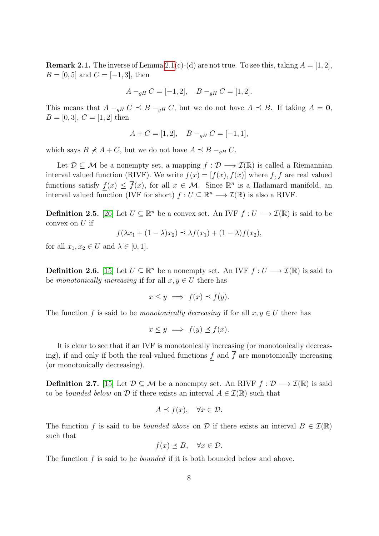**Remark 2.1.** The inverse of Lemma [2.1\(](#page-5-0)c)-(d) are not true. To see this, taking  $A = \begin{bmatrix} 1 & 2 \end{bmatrix}$ ,  $B = [0, 5]$  and  $C = [-1, 3]$ , then

$$
A -_{gH} C = [-1, 2], \quad B -_{gH} C = [1, 2].
$$

This means that  $A -_{qH} C \preceq B -_{qH} C$ , but we do not have  $A \preceq B$ . If taking  $A = 0$ ,  $B = [0, 3], C = [1, 2]$  then

$$
A + C = [1, 2], \quad B -_{gH} C = [-1, 1],
$$

which says  $B \nless A + C$ , but we do not have  $A \preceq B -_{gH} C$ .

Let  $\mathcal{D} \subseteq \mathcal{M}$  be a nonempty set, a mapping  $f : \mathcal{D} \longrightarrow \mathcal{I}(\mathbb{R})$  is called a Riemannian interval valued function (RIVF). We write  $f(x) = [f(x), \overline{f}(x)]$  where  $f, \overline{f}$  are real valued functions satisfy  $f(x) \leq \overline{f}(x)$ , for all  $x \in \mathcal{M}$ . Since  $\mathbb{R}^n$  is a Hadamard manifold, an interval valued function (IVF for short)  $f: U \subseteq \mathbb{R}^n \longrightarrow \mathcal{I}(\mathbb{R})$  is also a RIVF.

**Definition 2.5.** [\[26\]](#page-27-1) Let  $U \subseteq \mathbb{R}^n$  be a convex set. An IVF  $f: U \longrightarrow \mathcal{I}(\mathbb{R})$  is said to be convex on  $U$  if

$$
f(\lambda x_1 + (1 - \lambda)x_2) \preceq \lambda f(x_1) + (1 - \lambda)f(x_2),
$$

for all  $x_1, x_2 \in U$  and  $\lambda \in [0, 1]$ .

**Definition 2.6.** [\[15\]](#page-26-4) Let  $U \subseteq \mathbb{R}^n$  be a nonempty set. An IVF  $f: U \longrightarrow \mathcal{I}(\mathbb{R})$  is said to be monotonically increasing if for all  $x, y \in U$  there has

$$
x \le y \implies f(x) \le f(y).
$$

The function f is said to be monotonically decreasing if for all  $x, y \in U$  there has

$$
x \le y \implies f(y) \preceq f(x).
$$

It is clear to see that if an IVF is monotonically increasing (or monotonically decreasing), if and only if both the real-valued functions  $\underline{f}$  and  $\overline{f}$  are monotonically increasing (or monotonically decreasing).

**Definition 2.7.** [\[15\]](#page-26-4) Let  $\mathcal{D} \subseteq \mathcal{M}$  be a nonempty set. An RIVF  $f : \mathcal{D} \longrightarrow \mathcal{I}(\mathbb{R})$  is said to be *bounded below* on  $D$  if there exists an interval  $A \in \mathcal{I}(\mathbb{R})$  such that

$$
A \preceq f(x), \quad \forall x \in \mathcal{D}.
$$

The function f is said to be *bounded above* on D if there exists an interval  $B \in \mathcal{I}(\mathbb{R})$ such that

$$
f(x) \preceq B, \quad \forall x \in \mathcal{D}.
$$

The function f is said to be *bounded* if it is both bounded below and above.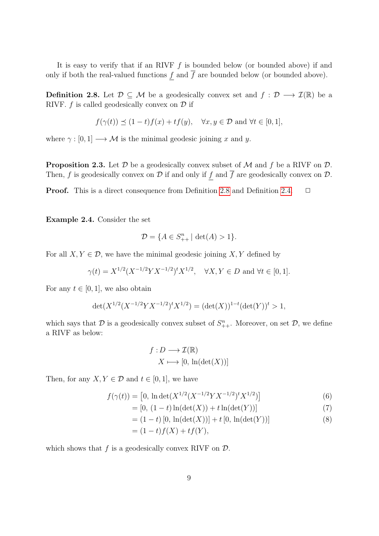It is easy to verify that if an RIVF  $f$  is bounded below (or bounded above) if and only if both the real-valued functions  $\underline{f}$  and  $\overline{f}$  are bounded below (or bounded above).

<span id="page-8-0"></span>**Definition 2.8.** Let  $\mathcal{D} \subseteq \mathcal{M}$  be a geodesically convex set and  $f : \mathcal{D} \longrightarrow \mathcal{I}(\mathbb{R})$  be a RIVF.  $f$  is called geodesically convex on  $\mathcal D$  if

$$
f(\gamma(t)) \preceq (1-t)f(x) + tf(y), \quad \forall x, y \in \mathcal{D} \text{ and } \forall t \in [0,1],
$$

where  $\gamma : [0, 1] \longrightarrow \mathcal{M}$  is the minimal geodesic joining x and y.

**Proposition 2.3.** Let  $D$  be a geodesically convex subset of  $M$  and  $f$  be a RIVF on  $D$ . Then, f is geodesically convex on  $\mathcal D$  if and only if  $\underline f$  and  $\overline f$  are geodesically convex on  $\mathcal D$ .

**Proof.** This is a direct consequence from Definition [2.8](#page-8-0) and Definition [2.4.](#page-5-1)  $\Box$ 

Example 2.4. Consider the set

$$
\mathcal{D} = \{ A \in S_{++}^n \mid \det(A) > 1 \}.
$$

For all  $X, Y \in \mathcal{D}$ , we have the minimal geodesic joining  $X, Y$  defined by

$$
\gamma(t) = X^{1/2} (X^{-1/2} Y X^{-1/2})^t X^{1/2}, \quad \forall X, Y \in D \text{ and } \forall t \in [0, 1].
$$

For any  $t \in [0, 1]$ , we also obtain

$$
\det(X^{1/2}(X^{-1/2}YX^{-1/2})^tX^{1/2}) = (\det(X))^{1-t}(\det(Y))^t > 1,
$$

which says that  $D$  is a geodesically convex subset of  $S_{++}^n$ . Moreover, on set  $D$ , we define a RIVF as below:

$$
f: D \longrightarrow \mathcal{I}(\mathbb{R})
$$

$$
X \longmapsto [0, \ln(\det(X))]
$$

Then, for any  $X, Y \in \mathcal{D}$  and  $t \in [0, 1]$ , we have

$$
f(\gamma(t)) = [0, \ln \det(X^{1/2}(X^{-1/2}YX^{-1/2})^t X^{1/2})]
$$
\n(6)

$$
= [0, (1-t)\ln(\det(X)) + t\ln(\det(Y))]
$$
\n(7)

$$
= (1-t) [0, \ln(\det(X))] + t [0, \ln(\det(Y))]
$$
\n(8)

$$
= (1-t)f(X) + tf(Y),
$$

which shows that  $f$  is a geodesically convex RIVF on  $\mathcal{D}$ .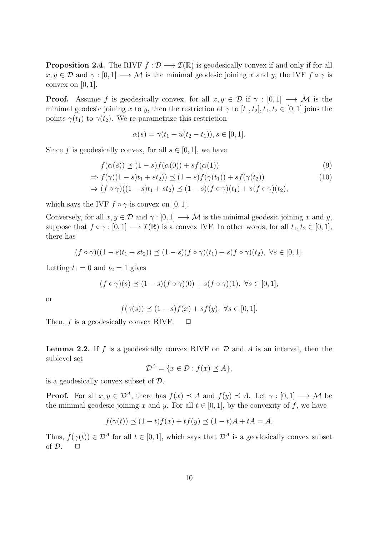**Proposition 2.4.** The RIVF  $f : \mathcal{D} \longrightarrow \mathcal{I}(\mathbb{R})$  is geodesically convex if and only if for all  $x, y \in \mathcal{D}$  and  $\gamma : [0, 1] \longrightarrow \mathcal{M}$  is the minimal geodesic joining x and y, the IVF  $f \circ \gamma$  is convex on  $[0, 1]$ .

**Proof.** Assume f is geodesically convex, for all  $x, y \in \mathcal{D}$  if  $\gamma : [0, 1] \longrightarrow \mathcal{M}$  is the minimal geodesic joining x to y, then the restriction of  $\gamma$  to  $[t_1, t_2], t_1, t_2 \in [0, 1]$  joins the points  $\gamma(t_1)$  to  $\gamma(t_2)$ . We re-parametrize this restriction

$$
\alpha(s) = \gamma(t_1 + u(t_2 - t_1)), s \in [0, 1].
$$

Since f is geodesically convex, for all  $s \in [0, 1]$ , we have

$$
f(\alpha(s)) \preceq (1 - s)f(\alpha(0)) + sf(\alpha(1))
$$
\n
$$
\Rightarrow f(\gamma((1 - s)t_1 + st_2)) \preceq (1 - s)f(\gamma(t_1)) + sf(\gamma(t_2))
$$
\n
$$
\Rightarrow (f \circ \gamma)((1 - s)t_1 + st_2) \preceq (1 - s)(f \circ \gamma)(t_1) + s(f \circ \gamma)(t_2),
$$
\n(10)

which says the IVF  $f \circ \gamma$  is convex on [0, 1].

Conversely, for all  $x, y \in \mathcal{D}$  and  $\gamma : [0, 1] \longrightarrow \mathcal{M}$  is the minimal geodesic joining x and y, suppose that  $f \circ \gamma : [0, 1] \longrightarrow \mathcal{I}(\mathbb{R})$  is a convex IVF. In other words, for all  $t_1, t_2 \in [0, 1]$ , there has

$$
(f\circ\gamma)((1-s)t_1+st_2))\preceq(1-s)(f\circ\gamma)(t_1)+s(f\circ\gamma)(t_2),\ \forall s\in[0,1].
$$

Letting  $t_1 = 0$  and  $t_2 = 1$  gives

$$
(f \circ \gamma)(s) \preceq (1 - s)(f \circ \gamma)(0) + s(f \circ \gamma)(1), \ \forall s \in [0, 1],
$$

or

$$
f(\gamma(s)) \preceq (1-s)f(x) + sf(y), \ \forall s \in [0,1].
$$

Then,  $f$  is a geodesically convex RIVF.  $\Box$ 

**Lemma 2.2.** If f is a geodesically convex RIVF on  $\mathcal D$  and A is an interval, then the sublevel set

$$
\mathcal{D}^A = \{ x \in \mathcal{D} : f(x) \preceq A \},
$$

is a geodesically convex subset of D.

**Proof.** For all  $x, y \in \mathcal{D}^A$ , there has  $f(x) \preceq A$  and  $f(y) \preceq A$ . Let  $\gamma : [0, 1] \longrightarrow \mathcal{M}$  be the minimal geodesic joining x and y. For all  $t \in [0,1]$ , by the convexity of f, we have

$$
f(\gamma(t)) \le (1-t)f(x) + tf(y) \le (1-t)A + tA = A.
$$

Thus,  $f(\gamma(t)) \in \mathcal{D}^A$  for all  $t \in [0, 1]$ , which says that  $\mathcal{D}^A$  is a geodesically convex subset of  $\mathcal{D}$ .  $\Box$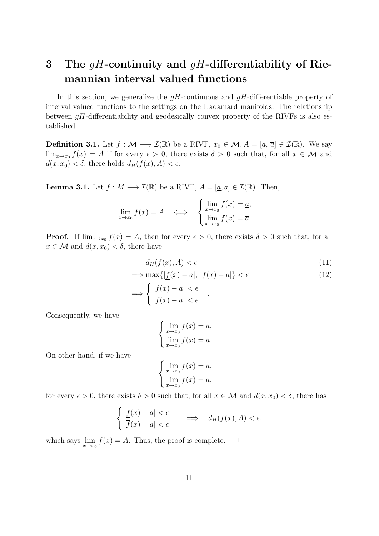# 3 The  $gH$ -continuity and  $gH$ -differentiability of Riemannian interval valued functions

In this section, we generalize the  $gH$ -continuous and  $gH$ -differentiable property of interval valued functions to the settings on the Hadamard manifolds. The relationship between  $gH$ -differentiability and geodesically convex property of the RIVFs is also established.

**Definition 3.1.** Let  $f : \mathcal{M} \longrightarrow \mathcal{I}(\mathbb{R})$  be a RIVF,  $x_0 \in \mathcal{M}, A = [\underline{a}, \overline{a}] \in \mathcal{I}(\mathbb{R})$ . We say  $\lim_{x\to x_0} f(x) = A$  if for every  $\epsilon > 0$ , there exists  $\delta > 0$  such that, for all  $x \in \mathcal{M}$  and  $d(x, x_0) < \delta$ , there holds  $d_H(f(x), A) < \epsilon$ .

**Lemma 3.1.** Let  $f : M \longrightarrow \mathcal{I}(\mathbb{R})$  be a RIVF,  $A = [\underline{a}, \overline{a}] \in \mathcal{I}(\mathbb{R})$ . Then,

$$
\lim_{x \to x_0} f(x) = A \quad \Longleftrightarrow \quad \begin{cases} \lim_{x \to x_0} \underline{f}(x) = \underline{a}, \\ \lim_{x \to x_0} \overline{f}(x) = \overline{a}. \end{cases}
$$

**Proof.** If  $\lim_{x\to x_0} f(x) = A$ , then for every  $\epsilon > 0$ , there exists  $\delta > 0$  such that, for all  $x \in \mathcal{M}$  and  $d(x, x_0) < \delta$ , there have

$$
d_H(f(x), A) < \epsilon \tag{11}
$$

$$
\implies \max\{|\underline{f}(x) - \underline{a}|, |\overline{f}(x) - \overline{a}|\} < \epsilon
$$
\n
$$
\implies \begin{cases}\n|\underline{f}(x) - \underline{a}| < \epsilon \\
|\overline{f}(x) - \overline{a}| < \epsilon\n\end{cases} \tag{12}
$$

Consequently, we have

$$
\begin{cases} \lim_{x \to x_0} \underline{f}(x) = \underline{a}, \\ \lim_{x \to x_0} \overline{f}(x) = \overline{a}. \end{cases}
$$

On other hand, if we have

$$
\begin{cases} \lim_{x \to x_0} \underline{f}(x) = \underline{a}, \\ \lim_{x \to x_0} \overline{f}(x) = \overline{a}, \end{cases}
$$

for every  $\epsilon > 0$ , there exists  $\delta > 0$  such that, for all  $x \in \mathcal{M}$  and  $d(x, x_0) < \delta$ , there has

$$
\begin{cases} \left| \underline{f}(x) - \underline{a} \right| < \epsilon \\ \left| \overline{f}(x) - \overline{a} \right| < \epsilon \end{cases} \implies d_H(f(x), A) < \epsilon.
$$

which says  $\lim_{x \to x_0} f(x) = A$ . Thus, the proof is complete.  $\Box$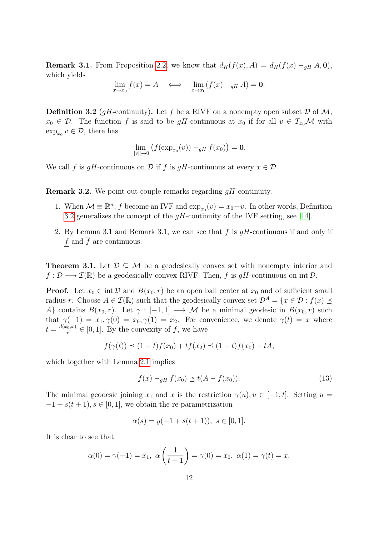**Remark 3.1.** From Proposition [2.2,](#page-4-0) we know that  $d_H(f(x), A) = d_H(f(x) - q_H A, 0)$ , which yields

$$
\lim_{x \to x_0} f(x) = A \iff \lim_{x \to x_0} (f(x) -_{gH} A) = \mathbf{0}.
$$

<span id="page-11-0"></span>**Definition 3.2** (*qH*-continuity). Let f be a RIVF on a nonempty open subset  $\mathcal{D}$  of  $\mathcal{M}$ ,  $x_0 \in \mathcal{D}$ . The function f is said to be gH-continuous at  $x_0$  if for all  $v \in T_{x_0}\mathcal{M}$  with  $\exp_{x_0} v \in \mathcal{D}$ , there has

$$
\lim_{\|v\| \to 0} \left( f(\exp_{x_0}(v)) -_{gH} f(x_0) \right) = \mathbf{0}.
$$

We call f is qH-continuous on D if f is qH-continuous at every  $x \in \mathcal{D}$ .

**Remark 3.2.** We point out couple remarks regarding  $qH$ -continuity.

- 1. When  $\mathcal{M} \equiv \mathbb{R}^n$ , f become an IVF and  $\exp_{x_0}(v) = x_0+v$ . In other words, Definition [3.2](#page-11-0) generalizes the concept of the  $gH$ -continuity of the IVF setting, see [\[14\]](#page-26-12).
- 2. By Lemma 3.1 and Remark 3.1, we can see that f is  $qH$ -continuous if and only if f and  $\overline{f}$  are continuous.

**Theorem 3.1.** Let  $\mathcal{D} \subset \mathcal{M}$  be a geodesically convex set with nonempty interior and  $f: \mathcal{D} \longrightarrow \mathcal{I}(\mathbb{R})$  be a geodesically convex RIVF. Then, f is qH-continuous on int  $\mathcal{D}$ .

**Proof.** Let  $x_0 \in \text{int } \mathcal{D}$  and  $B(x_0, r)$  be an open ball center at  $x_0$  and of sufficient small radius r. Choose  $A \in \mathcal{I}(\mathbb{R})$  such that the geodesically convex set  $\mathcal{D}^A = \{x \in \mathcal{D} : f(x) \preceq$ A} contains  $\overline{B}(x_0, r)$ . Let  $\gamma : [-1, 1] \longrightarrow M$  be a minimal geodesic in  $\overline{B}(x_0, r)$  such that  $\gamma(-1) = x_1, \gamma(0) = x_0, \gamma(1) = x_2$ . For convenience, we denote  $\gamma(t) = x$  where  $t=\frac{d(x_0,x)}{x}$  $\frac{f_0, x}{r} \in [0, 1]$ . By the convexity of f, we have

$$
f(\gamma(t)) \preceq (1-t)f(x_0) + tf(x_2) \preceq (1-t)f(x_0) + tA,
$$

which together with Lemma [2.1](#page-5-0) implies

<span id="page-11-1"></span>
$$
f(x) -_{gH} f(x_0) \le t(A - f(x_0)).
$$
\n(13)

The minimal geodesic joining  $x_1$  and x is the restriction  $\gamma(u), u \in [-1, t]$ . Setting  $u =$  $-1 + s(t + 1), s \in [0, 1]$ , we obtain the re-parametrization

$$
\alpha(s) = y(-1 + s(t+1)), \ s \in [0,1].
$$

It is clear to see that

$$
\alpha(0) = \gamma(-1) = x_1, \ \alpha\left(\frac{1}{t+1}\right) = \gamma(0) = x_0, \ \alpha(1) = \gamma(t) = x.
$$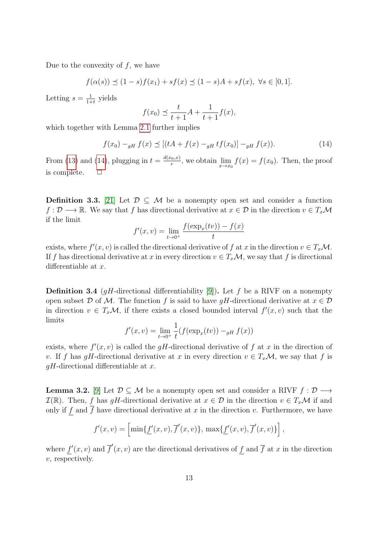Due to the convexity of  $f$ , we have

$$
f(\alpha(s)) \le (1-s)f(x_1) + sf(x) \le (1-s)A + sf(x), \ \forall s \in [0,1].
$$

Letting  $s=\frac{1}{1+1}$  $\frac{1}{1+t}$  yields

$$
f(x_0) \le \frac{t}{t+1}A + \frac{1}{t+1}f(x),
$$

which together with Lemma [2.1](#page-5-0) further implies

<span id="page-12-0"></span>
$$
f(x_0) -_{gH} f(x) \preceq [(tA + f(x) -_{gH} tf(x_0)] -_{gH} f(x)).
$$
\n(14)

From [\(13\)](#page-11-1) and [\(14\)](#page-12-0), plugging in  $t = \frac{d(x_0, x)}{r}$  $\lim_{x \to x_0} f(x) = f(x_0)$ . Then, the proof is complete.  $\Box$ 

**Definition 3.3.** [\[21\]](#page-26-13) Let  $\mathcal{D} \subset \mathcal{M}$  be a nonempty open set and consider a function  $f: \mathcal{D} \longrightarrow \mathbb{R}$ . We say that f has directional derivative at  $x \in \mathcal{D}$  in the direction  $v \in T_x\mathcal{M}$ if the limit

$$
f'(x, v) = \lim_{t \to 0^+} \frac{f(\exp_x(tv)) - f(x)}{t}
$$

exists, where  $f'(x, v)$  is called the directional derivative of f at x in the direction  $v \in T_x\mathcal{M}$ . If f has directional derivative at x in every direction  $v \in T_x\mathcal{M}$ , we say that f is directional differentiable at x.

**Definition 3.4** (*qH*-directional differentiability [\[9\]](#page-26-3)). Let f be a RIVF on a nonempty open subset D of M. The function f is said to have gH-directional derivative at  $x \in \mathcal{D}$ in direction  $v \in T_x\mathcal{M}$ , if there exists a closed bounded interval  $f'(x, v)$  such that the limits

$$
f'(x, v) = \lim_{t \to 0^+} \frac{1}{t} (f(\exp_x(tv)) -_{gH} f(x))
$$

exists, where  $f'(x, v)$  is called the gH-directional derivative of f at x in the direction of v. If f has gH-directional derivative at x in every direction  $v \in T_x\mathcal{M}$ , we say that f is  $qH$ -directional differentiable at x.

**Lemma 3.2.** [\[9\]](#page-26-3) Let  $\mathcal{D} \subseteq \mathcal{M}$  be a nonempty open set and consider a RIVF  $f : \mathcal{D} \longrightarrow$  $\mathcal{I}(\mathbb{R})$ . Then, f has qH-directional derivative at  $x \in \mathcal{D}$  in the direction  $v \in T_x\mathcal{M}$  if and only if f and  $\overline{f}$  have directional derivative at x in the direction v. Furthermore, we have

$$
f'(x,v) = \left[\min\{\underline{f}'(x,v),\overline{f}'(x,v)\},\,\max\{\underline{f}'(x,v),\overline{f}'(x,v)\}\right],
$$

where  $f'(x, v)$  and  $\overline{f}'(x, v)$  are the directional derivatives of f and  $\overline{f}$  at x in the direction  $v$ , respectively.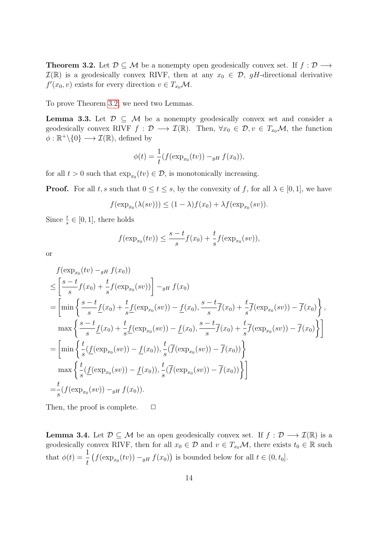<span id="page-13-0"></span>**Theorem 3.2.** Let  $\mathcal{D} \subseteq \mathcal{M}$  be a nonempty open geodesically convex set. If  $f : \mathcal{D} \longrightarrow$  $\mathcal{I}(\mathbb{R})$  is a geodesically convex RIVF, then at any  $x_0 \in \mathcal{D}$ , gH-directional derivative  $f'(x_0, v)$  exists for every direction  $v \in T_{x_0} \mathcal{M}$ .

To prove Theorem [3.2,](#page-13-0) we need two Lemmas.

<span id="page-13-1"></span>**Lemma 3.3.** Let  $\mathcal{D} \subseteq \mathcal{M}$  be a nonempty geodesically convex set and consider a geodesically convex RIVF  $f : \mathcal{D} \longrightarrow \mathcal{I}(\mathbb{R})$ . Then,  $\forall x_0 \in \mathcal{D}, v \in T_{x_0} \mathcal{M}$ , the function  $\phi : \mathbb{R}^+ \backslash \{0\} \longrightarrow \mathcal{I}(\mathbb{R})$ , defined by

$$
\phi(t) = \frac{1}{t} (f(\exp_{x_0}(tv)) -_{gH} f(x_0)),
$$

for all  $t > 0$  such that  $\exp_{x_0}(tv) \in \mathcal{D}$ , is monotonically increasing.

**Proof.** For all t, s such that  $0 \le t \le s$ , by the convexity of f, for all  $\lambda \in [0,1]$ , we have

$$
f(\exp_{x_0}(\lambda(sv))) \le (1-\lambda)f(x_0) + \lambda f(\exp_{x_0}(sv)).
$$

Since  $\frac{t}{s} \in [0, 1]$ , there holds

$$
f(\exp_{x_0}(tv)) \le \frac{s-t}{s}f(x_0) + \frac{t}{s}f(\exp_{x_0}(sv)),
$$

or

$$
f(\exp_{x_0}(tv) -_{gH} f(x_0))
$$
  
\n
$$
\leq \left[\frac{s-t}{s}f(x_0) + \frac{t}{s}f(\exp_{x_0}(sv))\right] -_{gH} f(x_0)
$$
  
\n
$$
= \left[\min\left\{\frac{s-t}{s}f(x_0) + \frac{t}{s}f(\exp_{x_0}(sv)) - f(x_0), \frac{s-t}{s}\overline{f}(x_0) + \frac{t}{s}\overline{f}(\exp_{x_0}(sv)) - \overline{f}(x_0)\right\},\right]
$$
  
\n
$$
\max\left\{\frac{s-t}{s}f(x_0) + \frac{t}{s}f(\exp_{x_0}(sv)) - f(x_0), \frac{s-t}{s}\overline{f}(x_0) + \frac{t}{s}\overline{f}(\exp_{x_0}(sv)) - \overline{f}(x_0)\right\}\right]
$$
  
\n
$$
= \left[\min\left\{\frac{t}{s}(f(\exp_{x_0}(sv)) - f(x_0)), \frac{t}{s}(\overline{f}(\exp_{x_0}(sv)) - \overline{f}(x_0))\right\}
$$
  
\n
$$
\max\left\{\frac{t}{s}(f(\exp_{x_0}(sv)) - f(x_0)), \frac{t}{s}(\overline{f}(\exp_{x_0}(sv)) - \overline{f}(x_0))\right\}\right]
$$
  
\n
$$
= \frac{t}{s}(f(\exp_{x_0}(sv)) -_{gH} f(x_0)).
$$

Then, the proof is complete.  $\Box$ 

<span id="page-13-2"></span>**Lemma 3.4.** Let  $\mathcal{D} \subseteq \mathcal{M}$  be an open geodesically convex set. If  $f : \mathcal{D} \longrightarrow \mathcal{I}(\mathbb{R})$  is a geodesically convex RIVF, then for all  $x_0 \in \mathcal{D}$  and  $v \in T_{x_0} \mathcal{M}$ , there exists  $t_0 \in \mathbb{R}$  such that  $\phi(t) = \frac{1}{t}$ t  $(f(\exp_{x_0}(tv)) - g_H f(x_0))$  is bounded below for all  $t \in (0, t_0]$ .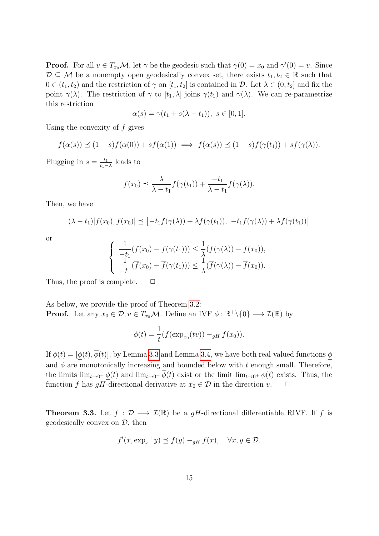**Proof.** For all  $v \in T_{x_0} \mathcal{M}$ , let  $\gamma$  be the geodesic such that  $\gamma(0) = x_0$  and  $\gamma'(0) = v$ . Since  $\mathcal{D} \subseteq \mathcal{M}$  be a nonempty open geodesically convex set, there exists  $t_1, t_2 \in \mathbb{R}$  such that  $0 \in (t_1, t_2)$  and the restriction of  $\gamma$  on  $[t_1, t_2]$  is contained in  $\mathcal{D}$ . Let  $\lambda \in (0, t_2]$  and fix the point  $\gamma(\lambda)$ . The restriction of  $\gamma$  to  $[t_1, \lambda]$  joins  $\gamma(t_1)$  and  $\gamma(\lambda)$ . We can re-parametrize this restriction

$$
\alpha(s) = \gamma(t_1 + s(\lambda - t_1)), \ s \in [0, 1].
$$

Using the convexity of  $f$  gives

$$
f(\alpha(s)) \preceq (1-s)f(\alpha(0)) + sf(\alpha(1)) \implies f(\alpha(s)) \preceq (1-s)f(\gamma(t_1)) + sf(\gamma(\lambda)).
$$

Plugging in  $s = \frac{t_1}{t_1}$  $\frac{t_1}{t_1 - \lambda}$  leads to

$$
f(x_0) \preceq \frac{\lambda}{\lambda - t_1} f(\gamma(t_1)) + \frac{-t_1}{\lambda - t_1} f(\gamma(\lambda)).
$$

Then, we have

$$
(\lambda - t_1)[\underline{f}(x_0), \overline{f}(x_0)] \preceq [-t_1 \underline{f}(\gamma(\lambda)) + \lambda \underline{f}(\gamma(t_1)), -t_1 \overline{f}(\gamma(\lambda)) + \lambda \overline{f}(\gamma(t_1))]
$$

or

$$
\begin{cases}\n\frac{1}{-t_1}(f(x_0) - f(\gamma(t_1))) \leq \frac{1}{\lambda}(f(\gamma(\lambda)) - f(x_0)), \\
\frac{1}{-t_1}(\overline{f}(x_0) - \overline{f}(\gamma(t_1))) \leq \frac{1}{\lambda}(\overline{f}(\gamma(\lambda)) - \overline{f}(x_0)).\n\end{cases}
$$

Thus, the proof is complete.  $\Box$ 

As below, we provide the proof of Theorem [3.2:](#page-13-0) **Proof.** Let any  $x_0 \in \mathcal{D}$ ,  $v \in T_{x_0} \mathcal{M}$ . Define an IVF  $\phi : \mathbb{R}^+ \setminus \{0\} \longrightarrow \mathcal{I}(\mathbb{R})$  by

$$
\phi(t) = \frac{1}{t} (f(\exp_{x_0}(tv)) -_{gH} f(x_0)).
$$

If  $\phi(t) = [\phi(t), \overline{\phi}(t)]$ , by Lemma [3.3](#page-13-1) and Lemma [3.4,](#page-13-2) we have both real-valued functions  $\phi$ and  $\phi$  are monotonically increasing and bounded below with t enough small. Therefore, the limits  $\lim_{t\to 0^+} \phi(t)$  and  $\lim_{t\to 0^+} \overline{\phi}(t)$  exist or the limit  $\lim_{t\to 0^+} \phi(t)$  exists. Thus, the function f has gH-directional derivative at  $x_0 \in \mathcal{D}$  in the direction v.  $\Box$ 

<span id="page-14-0"></span>**Theorem 3.3.** Let  $f : \mathcal{D} \longrightarrow \mathcal{I}(\mathbb{R})$  be a gH-directional differentiable RIVF. If f is geodesically convex on  $\mathcal{D}$ , then

$$
f'(x, \exp_x^{-1} y) \preceq f(y) -_{gH} f(x), \quad \forall x, y \in \mathcal{D}.
$$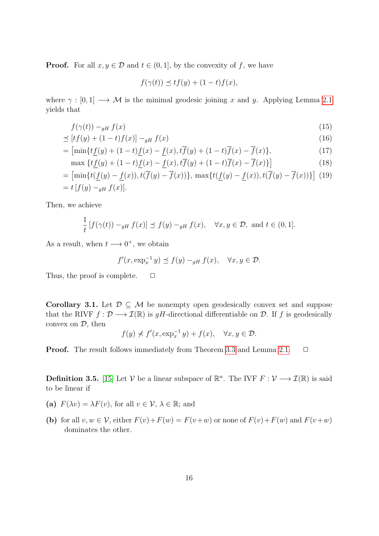**Proof.** For all  $x, y \in \mathcal{D}$  and  $t \in (0, 1]$ , by the convexity of f, we have

$$
f(\gamma(t)) \preceq tf(y) + (1-t)f(x),
$$

where  $\gamma : [0, 1] \longrightarrow \mathcal{M}$  is the minimal geodesic joining x and y. Applying Lemma [2.1](#page-5-0) yields that

$$
f(\gamma(t)) - g_H f(x) \tag{15}
$$

$$
\preceq [tf(y) + (1-t)f(x)] -_{gH} f(x) \tag{16}
$$

$$
= \left[ \min\{t\underline{f}(y) + (1-t)\underline{f}(x) - \underline{f}(x), t\overline{f}(y) + (1-t)\overline{f}(x) - \overline{f}(x) \},\right] \tag{17}
$$

$$
\max \left\{ t \underline{f}(y) + (1-t) \underline{f}(x) - \underline{f}(x), t \overline{f}(y) + (1-t) \overline{f}(x) - \overline{f}(x) \right\} \Big] \tag{18}
$$

$$
= \left[ \min \{ t(\underline{f}(y) - \underline{f}(x)), t(\overline{f}(y) - \overline{f}(x)) \}, \ \max \{ t(\underline{f}(y) - \underline{f}(x)), t(\overline{f}(y) - \overline{f}(x)) \} \right] \tag{19}
$$
  
=  $t [f(y) -_{gH} f(x)].$ 

Then, we achieve

$$
\frac{1}{t}[f(\gamma(t)) -_{gH} f(x)] \preceq f(y) -_{gH} f(x), \quad \forall x, y \in \mathcal{D}, \text{ and } t \in (0, 1].
$$

As a result, when  $t \longrightarrow 0^+$ , we obtain

$$
f'(x, \exp_x^{-1} y) \preceq f(y) -_{gH} f(x), \quad \forall x, y \in \mathcal{D}.
$$

Thus, the proof is complete.  $\Box$ 

**Corollary 3.1.** Let  $\mathcal{D} \subseteq \mathcal{M}$  be nonempty open geodesically convex set and suppose that the RIVF  $f : \mathcal{D} \longrightarrow \mathcal{I}(\mathbb{R})$  is gH-directional differentiable on  $\mathcal{D}$ . If f is geodesically convex on  $\mathcal{D}$ , then

$$
f(y) \nless f'(x, \exp_x^{-1} y) + f(x), \quad \forall x, y \in \mathcal{D}.
$$

**Proof.** The result follows immediately from Theorem [3.3](#page-14-0) and Lemma [2.1.](#page-5-0)  $\Box$ 

**Definition 3.5.** [\[15\]](#page-26-4) Let  $V$  be a linear subspace of  $\mathbb{R}^n$ . The IVF  $F: V \longrightarrow \mathcal{I}(\mathbb{R})$  is said to be linear if

- (a)  $F(\lambda v) = \lambda F(v)$ , for all  $v \in \mathcal{V}, \lambda \in \mathbb{R}$ ; and
- (b) for all  $v, w \in V$ , either  $F(v) + F(w) = F(v+w)$  or none of  $F(v) + F(w)$  and  $F(v+w)$ dominates the other.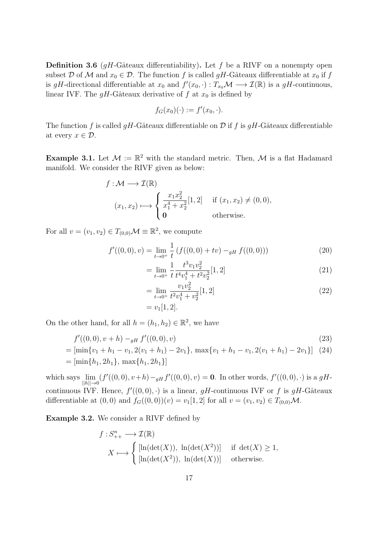**Definition 3.6** (gH-Gâteaux differentiability). Let f be a RIVF on a nonempty open subset D of M and  $x_0 \in \mathcal{D}$ . The function f is called gH-Gâteaux differentiable at  $x_0$  if f is gH-directional differentiable at  $x_0$  and  $f'(x_0, \cdot) : T_{x_0} \mathcal{M} \longrightarrow \mathcal{I}(\mathbb{R})$  is a gH-continuous, linear IVF. The  $gH$ -Gâteaux derivative of f at  $x_0$  is defined by

$$
f_G(x_0)(\cdot) := f'(x_0, \cdot).
$$

The function f is called  $qH$ -Gâteaux differentiable on D if f is  $qH$ -Gâteaux differentiable at every  $x \in \mathcal{D}$ .

<span id="page-16-0"></span>**Example 3.1.** Let  $\mathcal{M} := \mathbb{R}^2$  with the standard metric. Then, M is a flat Hadamard manifold. We consider the RIVF given as below:

$$
f: \mathcal{M} \longrightarrow \mathcal{I}(\mathbb{R})
$$
  
\n
$$
(x_1, x_2) \longmapsto \begin{cases} \frac{x_1 x_2^2}{x_1^4 + x_2^2} [1, 2] & \text{if } (x_1, x_2) \neq (0, 0), \\ 0 & \text{otherwise.} \end{cases}
$$

For all  $v = (v_1, v_2) \in T_{(0,0)}\mathcal{M} \equiv \mathbb{R}^2$ , we compute

$$
f'((0,0),v) = \lim_{t \to 0^+} \frac{1}{t} \left( f((0,0) + tv) -_{gH} f((0,0)) \right) \tag{20}
$$

$$
= \lim_{t \to 0^+} \frac{1}{t} \frac{t^3 v_1 v_2^2}{t^4 v_1^4 + t^2 v_2^2} [1, 2]
$$
\n(21)

$$
= \lim_{t \to 0^+} \frac{v_1 v_2^2}{t^2 v_1^4 + v_2^2} [1, 2]
$$
\n
$$
= v_1 [1, 2].
$$
\n(22)

On the other hand, for all  $h = (h_1, h_2) \in \mathbb{R}^2$ , we have

$$
f'((0,0),v+h) -_{gH} f'((0,0),v) \tag{23}
$$

$$
= [\min\{v_1 + h_1 - v_1, 2(v_1 + h_1) - 2v_1\}, \max\{v_1 + h_1 - v_1, 2(v_1 + h_1) - 2v_1\}] \tag{24}
$$
  
=  $[\min\{h_1, 2h_1\}, \max\{h_1, 2h_1\}]$ 

which says  $\lim_{\|h\| \to 0} (f'((0,0), v+h) - H f'((0,0), v)) = \mathbf{0}$ . In other words,  $f'((0,0), \cdot)$  is a gHcontinuous IVF. Hence,  $f'(0,0), \cdot$  is a linear, gH-continuous IVF or f is gH-Gâteaux differentiable at  $(0, 0)$  and  $f_G((0, 0))(v) = v_1[1, 2]$  for all  $v = (v_1, v_2) \in T_{(0,0)}\mathcal{M}$ .

Example 3.2. We consider a RIVF defined by

$$
f: S_{++}^{n} \longrightarrow \mathcal{I}(\mathbb{R})
$$
  

$$
X \longmapsto \begin{cases} [\ln(\det(X)), \ \ln(\det(X^{2}))] & \text{if } \det(X) \ge 1, \\ [\ln(\det(X^{2})), \ \ln(\det(X))] & \text{otherwise.} \end{cases}
$$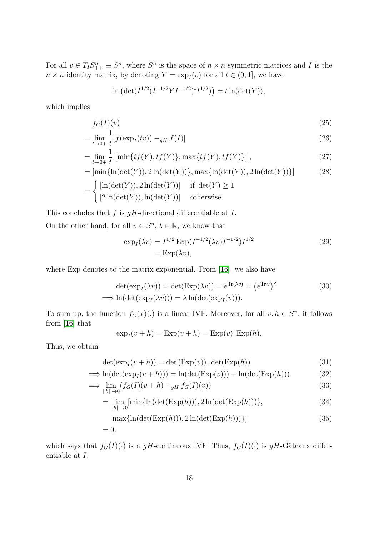For all  $v \in T_I S_{++}^n \equiv S^n$ , where  $S^n$  is the space of  $n \times n$  symmetric matrices and I is the  $n \times n$  identity matrix, by denoting  $Y = \exp_I(v)$  for all  $t \in (0, 1]$ , we have

$$
\ln \left( \det(I^{1/2}(I^{-1/2}YI^{-1/2})^tI^{1/2}) \right) = t \ln(\det(Y)),
$$

which implies

$$
f_G(I)(v) \tag{25}
$$

$$
= \lim_{t \to 0+} \frac{1}{t} [f(\exp_I(tv)) -_{gH} f(I)] \tag{26}
$$

$$
= \lim_{t \to 0+} \frac{1}{t} \left[ \min\{ t\underline{f}(Y), t\overline{f}(Y) \}, \max\{ t\underline{f}(Y), t\overline{f}(Y) \} \right],
$$
\n(27)

$$
= [\min{\ln(\det(Y)), 2\ln(\det(Y))}, \max{\ln(\det(Y)), 2\ln(\det(Y))}]
$$
\n
$$
= \begin{cases}\n[\ln(\det(Y)), 2\ln(\det(Y))] & \text{if } \det(Y) \ge 1 \\
[2\ln(\det(Y)), \ln(\det(Y))] & \text{otherwise.}\n\end{cases}
$$
\n(28)

This concludes that  $f$  is  $gH$ -directional differentiable at  $I$ .

On the other hand, for all  $v \in S^n, \lambda \in \mathbb{R}$ , we know that

$$
\exp_I(\lambda v) = I^{1/2} \exp(I^{-1/2}(\lambda v) I^{-1/2}) I^{1/2}
$$
\n
$$
= \exp(\lambda v),
$$
\n(29)

where Exp denotes to the matrix exponential. From [\[16\]](#page-26-14), we also have

$$
\det(\exp_I(\lambda v)) = \det(\text{Exp}(\lambda v)) = e^{\text{Tr}(\lambda v)} = (e^{\text{Tr}v})^{\lambda}
$$
(30)  

$$
\implies \ln(\det(\exp_I(\lambda v))) = \lambda \ln(\det(\exp_I(v))).
$$

To sum up, the function  $f_G(x)(.)$  is a linear IVF. Moreover, for all  $v, h \in S^n$ , it follows from [\[16\]](#page-26-14) that

$$
\exp_I(v+h) = \operatorname{Exp}(v+h) = \operatorname{Exp}(v). \operatorname{Exp}(h).
$$

Thus, we obtain

$$
\det(\exp_I(v+h)) = \det(\text{Exp}(v)) \cdot \det(\text{Exp}(h)) \tag{31}
$$

$$
\implies \ln(\det(\exp_I(v+h))) = \ln(\det(\text{Exp}(v))) + \ln(\det(\text{Exp}(h))). \tag{32}
$$

$$
\implies \lim_{||h|| \to 0} (f_G(I)(v+h) -_{gH} f_G(I)(v))
$$
\n(33)

$$
= \lim_{||h|| \to 0} [\min{\ln(\det(\text{Exp}(h))), 2 \ln(\det(\text{Exp}(h)))}\},\tag{34}
$$

$$
\max\{\ln(\det(\text{Exp}(h))), 2\ln(\det(\text{Exp}(h)))\}]
$$
\n
$$
= 0.
$$
\n(35)

which says that  $f_G(I)(\cdot)$  is a gH-continuous IVF. Thus,  $f_G(I)(\cdot)$  is gH-Gâteaux differentiable at I.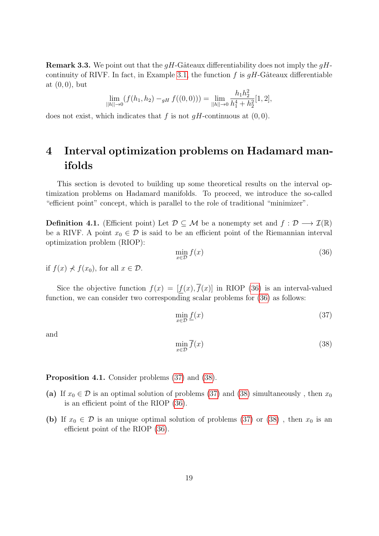**Remark 3.3.** We point out that the  $gH$ -Gâteaux differentiability does not imply the  $gH$ -continuity of RIVF. In fact, in Example [3.1,](#page-16-0) the function f is  $qH$ -Gâteaux differentiable at  $(0, 0)$ , but

$$
\lim_{||h|| \to 0} (f(h_1, h_2) -_{gH} f((0, 0))) = \lim_{||h|| \to 0} \frac{h_1 h_2^2}{h_1^4 + h_2^2} [1, 2],
$$

does not exist, which indicates that f is not  $qH$ -continuous at  $(0, 0)$ .

## 4 Interval optimization problems on Hadamard manifolds

This section is devoted to building up some theoretical results on the interval optimization problems on Hadamard manifolds. To proceed, we introduce the so-called "efficient point" concept, which is parallel to the role of traditional "minimizer".

**Definition 4.1.** (Efficient point) Let  $\mathcal{D} \subseteq \mathcal{M}$  be a nonempty set and  $f : \mathcal{D} \longrightarrow \mathcal{I}(\mathbb{R})$ be a RIVF. A point  $x_0 \in \mathcal{D}$  is said to be an efficient point of the Riemannian interval optimization problem (RIOP):

<span id="page-18-0"></span>
$$
\min_{x \in \mathcal{D}} f(x) \tag{36}
$$

if  $f(x) \nless f(x_0)$ , for all  $x \in \mathcal{D}$ .

Sice the objective function  $f(x) = [f(x), \overline{f}(x)]$  in RIOP [\(36\)](#page-18-0) is an interval-valued function, we can consider two corresponding scalar problems for [\(36\)](#page-18-0) as follows:

<span id="page-18-1"></span>
$$
\min_{x \in \mathcal{D}} \underline{f}(x) \tag{37}
$$

and

<span id="page-18-2"></span>
$$
\min_{x \in \mathcal{D}} \overline{f}(x) \tag{38}
$$

Proposition 4.1. Consider problems [\(37\)](#page-18-1) and [\(38\)](#page-18-2).

- (a) If  $x_0 \in \mathcal{D}$  is an optimal solution of problems [\(37\)](#page-18-1) and [\(38\)](#page-18-2) simultaneously, then  $x_0$ is an efficient point of the RIOP [\(36\)](#page-18-0).
- (b) If  $x_0 \in \mathcal{D}$  is an unique optimal solution of problems [\(37\)](#page-18-1) or [\(38\)](#page-18-2), then  $x_0$  is an efficient point of the RIOP [\(36\)](#page-18-0).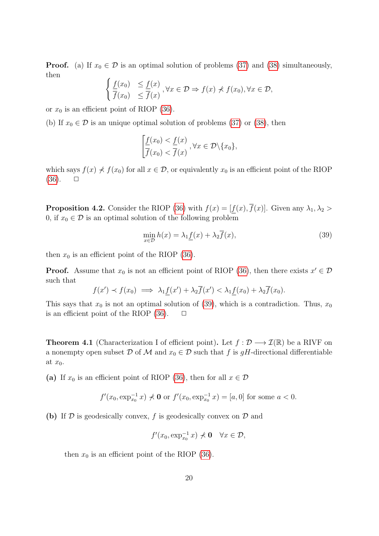**Proof.** (a) If  $x_0 \in \mathcal{D}$  is an optimal solution of problems [\(37\)](#page-18-1) and [\(38\)](#page-18-2) simultaneously, then

$$
\begin{cases} \frac{f(x_0)}{\overline{f}(x_0)} & \leq \frac{f(x)}{\overline{f}(x)}, \forall x \in \mathcal{D} \Rightarrow f(x) \nprec f(x_0), \forall x \in \mathcal{D}, \\ 0 & \leq \overline{f}(x) \end{cases}
$$

or  $x_0$  is an efficient point of RIOP [\(36\)](#page-18-0).

(b) If  $x_0 \in \mathcal{D}$  is an unique optimal solution of problems [\(37\)](#page-18-1) or [\(38\)](#page-18-2), then

$$
\left[\frac{f(x_0) < f(x)}{\overline{f}(x_0) < \overline{f}(x)}, \forall x \in \mathcal{D} \setminus \{x_0\},\right]
$$

which says  $f(x) \nless f(x_0)$  for all  $x \in \mathcal{D}$ , or equivalently  $x_0$  is an efficient point of the RIOP  $(36)$ .  $\Box$ 

**Proposition 4.2.** Consider the RIOP [\(36\)](#page-18-0) with  $f(x) = [f(x), \overline{f}(x)]$ . Given any  $\lambda_1, \lambda_2 >$ 0, if  $x_0 \in \mathcal{D}$  is an optimal solution of the following problem

<span id="page-19-0"></span>
$$
\min_{x \in \mathcal{D}} h(x) = \lambda_1 \underline{f}(x) + \lambda_2 \overline{f}(x),\tag{39}
$$

then  $x_0$  is an efficient point of the RIOP [\(36\)](#page-18-0).

**Proof.** Assume that  $x_0$  is not an efficient point of RIOP [\(36\)](#page-18-0), then there exists  $x' \in \mathcal{D}$ such that

$$
f(x') \prec f(x_0) \implies \lambda_1 \underline{f}(x') + \lambda_2 \overline{f}(x') < \lambda_1 \underline{f}(x_0) + \lambda_2 \overline{f}(x_0).
$$

This says that  $x_0$  is not an optimal solution of [\(39\)](#page-19-0), which is a contradiction. Thus,  $x_0$ is an efficient point of the RIOP  $(36)$ .  $\Box$ 

<span id="page-19-1"></span>**Theorem 4.1** (Characterization I of efficient point). Let  $f : \mathcal{D} \longrightarrow \mathcal{I}(\mathbb{R})$  be a RIVF on a nonempty open subset D of M and  $x_0 \in \mathcal{D}$  such that f is gH-directional differentiable at  $x_0$ .

(a) If  $x_0$  is an efficient point of RIOP [\(36\)](#page-18-0), then for all  $x \in \mathcal{D}$ 

$$
f'(x_0, \exp_{x_0}^{-1} x) \nless 0
$$
 or  $f'(x_0, \exp_{x_0}^{-1} x) = [a, 0]$  for some  $a < 0$ .

(b) If  $D$  is geodesically convex, f is geodesically convex on  $D$  and

$$
f'(x_0,\exp_{x_0}^{-1}x)\nprec{\bf 0}\quad\forall x\in\mathcal{D},
$$

then  $x_0$  is an efficient point of the RIOP [\(36\)](#page-18-0).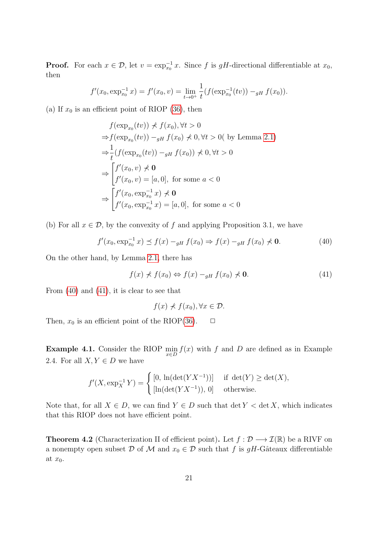**Proof.** For each  $x \in \mathcal{D}$ , let  $v = \exp_{x_0}^{-1} x$ . Since f is gH-directional differentiable at  $x_0$ , then

$$
f'(x_0, \exp_{x_0}^{-1} x) = f'(x_0, v) = \lim_{t \to 0^+} \frac{1}{t} (f(\exp_{x_0}^{-1}(tv)) -_{gH} f(x_0)).
$$

(a) If  $x_0$  is an efficient point of RIOP [\(36\)](#page-18-0), then

$$
f(\exp_{x_0}(tv)) \nless f(x_0), \forall t > 0
$$
  
\n
$$
\Rightarrow f(\exp_{x_0}(tv)) -_{gH} f(x_0) \nless 0, \forall t > 0 \text{ (by Lemma 2.1)}
$$
  
\n
$$
\Rightarrow \frac{1}{t} (f(\exp_{x_0}(tv)) -_{gH} f(x_0)) \nless 0, \forall t > 0
$$
  
\n
$$
\Rightarrow \begin{bmatrix} f'(x_0, v) \nless 0 \\ f'(x_0, v) = [a, 0], \text{ for some } a < 0 \end{bmatrix}
$$
  
\n
$$
\Rightarrow \begin{bmatrix} f'(x_0, \exp_{x_0}^{-1} x) \nless 0 \\ f'(x_0, \exp_{x_0}^{-1} x) = [a, 0], \text{ for some } a < 0 \end{bmatrix}
$$

(b) For all  $x \in \mathcal{D}$ , by the convexity of f and applying Proposition 3.1, we have

<span id="page-20-0"></span>
$$
f'(x_0, \exp_{x_0}^{-1} x) \preceq f(x) -_{gH} f(x_0) \Rightarrow f(x) -_{gH} f(x_0) \nprec 0.
$$
 (40)

On the other hand, by Lemma [2.1,](#page-5-0) there has

<span id="page-20-1"></span>
$$
f(x) \nless f(x_0) \Leftrightarrow f(x) -_{gH} f(x_0) \nless 0. \n\tag{41}
$$

From  $(40)$  and  $(41)$ , it is clear to see that

$$
f(x) \nless f(x_0), \forall x \in \mathcal{D}.
$$

Then,  $x_0$  is an efficient point of the RIOP[\(36\)](#page-18-0).  $\Box$ 

**Example 4.1.** Consider the RIOP  $\min_{x \in D} f(x)$  with f and D are defined as in Example 2.4. For all  $X, Y \in D$  we have

$$
f'(X, \exp_X^{-1} Y) = \begin{cases} [0, \ln(\det(YX^{-1}))] & \text{if } \det(Y) \ge \det(X), \\ [\ln(\det(YX^{-1})), 0] & \text{otherwise.} \end{cases}
$$

Note that, for all  $X \in D$ , we can find  $Y \in D$  such that  $\det Y < \det X$ , which indicates that this RIOP does not have efficient point.

<span id="page-20-2"></span>**Theorem 4.2** (Characterization II of efficient point). Let  $f : \mathcal{D} \longrightarrow \mathcal{I}(\mathbb{R})$  be a RIVF on a nonempty open subset D of M and  $x_0 \in \mathcal{D}$  such that f is gH-Gâteaux differentiable at  $x_0$ .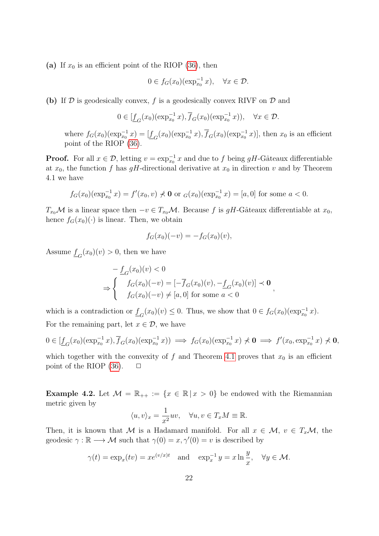(a) If  $x_0$  is an efficient point of the RIOP [\(36\)](#page-18-0), then

$$
0 \in f_G(x_0)(\exp_{x_0}^{-1}x), \quad \forall x \in \mathcal{D}.
$$

(b) If  $D$  is geodesically convex, f is a geodesically convex RIVF on  $D$  and

$$
0 \in [\underline{f}_G(x_0)(\exp_{x_0}^{-1}x), \overline{f}_G(x_0)(\exp_{x_0}^{-1}x)), \quad \forall x \in \mathcal{D}.
$$

where  $f_G(x_0)(\exp_{x_0}^{-1}x) = [\underline{f}_G(x_0)(\exp_{x_0}^{-1}x), \overline{f}_G(x_0)(\exp_{x_0}^{-1}x)],$  then  $x_0$  is an efficient point of the RIOP [\(36\)](#page-18-0).

**Proof.** For all  $x \in \mathcal{D}$ , letting  $v = \exp_{x_0}^{-1} x$  and due to f being gH-Gâteaux differentiable at  $x_0$ , the function f has gH-directional derivative at  $x_0$  in direction v and by Theorem 4.1 we have

$$
f_G(x_0)(\exp_{x_0}^{-1} x) = f'(x_0, v) \nless 0
$$
 or  $g(x_0)(\exp_{x_0}^{-1} x) = [a, 0]$  for some  $a < 0$ .

 $T_{x_0}M$  is a linear space then  $-v \in T_{x_0}M$ . Because f is gH-Gâteaux differentiable at  $x_0$ , hence  $f_G(x_0)(\cdot)$  is linear. Then, we obtain

$$
f_G(x_0)(-v) = -f_G(x_0)(v),
$$

Assume  $\underline{f}_G(x_0)(v) > 0$ , then we have

$$
- \underline{f}_G(x_0)(v) < 0
$$
\n
$$
\Rightarrow \begin{cases}\n f_G(x_0)(-v) = [-\overline{f}_G(x_0)(v), -\underline{f}_G(x_0)(v)] \prec \mathbf{0} \\
 f_G(x_0)(-v) \neq [a, 0] \text{ for some } a < 0\n\end{cases}
$$

which is a contradiction or  $\underline{f}_G(x_0)(v) \leq 0$ . Thus, we show that  $0 \in f_G(x_0)(\exp_{x_0}^{-1} x)$ . For the remaining part, let  $x \in \mathcal{D}$ , we have

$$
0 \in [\underline{f}_G(x_0)(\exp_{x_0}^{-1}x), \overline{f}_G(x_0)(\exp_{x_0}^{-1}x)) \implies f_G(x_0)(\exp_{x_0}^{-1}x) \nless 0 \implies f'(x_0, \exp_{x_0}^{-1}x) \nless 0,
$$

which together with the convexity of f and Theorem [4.1](#page-19-1) proves that  $x_0$  is an efficient point of the RIOP  $(36)$ .  $\Box$ 

Example 4.2. Let  $\mathcal{M} = \mathbb{R}_{++} := \{x \in \mathbb{R} \mid x > 0\}$  be endowed with the Riemannian metric given by

$$
\langle u, v \rangle_x = \frac{1}{x^2} uv, \quad \forall u, v \in T_x M \equiv \mathbb{R}.
$$

Then, it is known that M is a Hadamard manifold. For all  $x \in M$ ,  $v \in T_x\mathcal{M}$ , the geodesic  $\gamma : \mathbb{R} \longrightarrow \mathcal{M}$  such that  $\gamma(0) = x, \gamma'(0) = v$  is described by

$$
\gamma(t) = \exp_x(tv) = xe^{(v/x)t}
$$
 and  $\exp_x^{-1} y = x \ln \frac{y}{x}$ ,  $\forall y \in \mathcal{M}$ .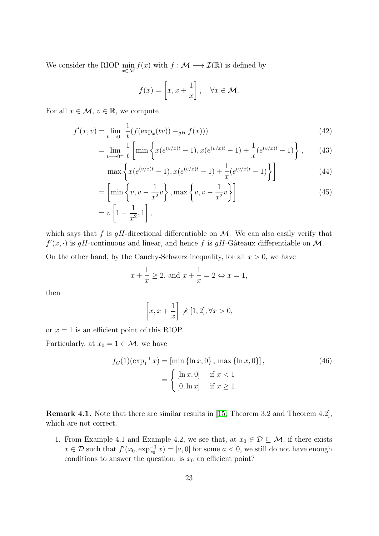We consider the RIOP  $\min_{x \in \mathcal{M}} f(x)$  with  $f : \mathcal{M} \longrightarrow \mathcal{I}(\mathbb{R})$  is defined by

$$
f(x) = \left[x, x + \frac{1}{x}\right], \quad \forall x \in \mathcal{M}.
$$

For all  $x \in \mathcal{M}, v \in \mathbb{R}$ , we compute

$$
f'(x,v) = \lim_{t \to 0^+} \frac{1}{t} (f(\exp_x(tv)) -_{gH} f(x)))
$$
\n(42)

$$
= \lim_{t \to 0^+} \frac{1}{t} \left[ \min \left\{ x (e^{(v/x)t} - 1), x (e^{(v/x)t} - 1) + \frac{1}{x} (e^{(v/x)t} - 1) \right\}, \right. (43)
$$

$$
\max\left\{x(e^{(v/x)t} - 1), x(e^{(v/x)t} - 1) + \frac{1}{x}(e^{(v/x)t} - 1)\right\}\right]
$$
(44)

$$
= \left[\min\left\{v, v - \frac{1}{x^2}v\right\}, \max\left\{v, v - \frac{1}{x^2}v\right\}\right]
$$
  
=  $v\left[1 - \frac{1}{x^2}, 1\right],$  (45)

which says that f is  $gH$ -directional differentiable on M. We can also easily verify that  $f'(x, \cdot)$  is gH-continuous and linear, and hence f is gH-Gâteaux differentiable on M.

On the other hand, by the Cauchy-Schwarz inequality, for all  $x > 0$ , we have

$$
x + \frac{1}{x} \ge 2
$$
, and  $x + \frac{1}{x} = 2 \Leftrightarrow x = 1$ ,

then

$$
\[x, x + \frac{1}{x}\] \nless [1, 2], \forall x > 0,
$$

or  $x = 1$  is an efficient point of this RIOP.

Particularly, at  $x_0 = 1 \in \mathcal{M}$ , we have

$$
f_G(1)(\exp_1^{-1} x) = [\min {\ln x, 0}, \max {\ln x, 0}],
$$
  
= 
$$
\begin{cases} [\ln x, 0] & \text{if } x < 1 \\ [0, \ln x] & \text{if } x \ge 1. \end{cases}
$$
 (46)

Remark 4.1. Note that there are similar results in [\[15,](#page-26-4) Theorem 3.2 and Theorem 4.2], which are not correct.

1. From Example 4.1 and Example 4.2, we see that, at  $x_0 \in \mathcal{D} \subseteq \mathcal{M}$ , if there exists  $x \in \mathcal{D}$  such that  $f'(x_0, \exp_{x_0}^{-1} x) = [a, 0]$  for some  $a < 0$ , we still do not have enough conditions to answer the question: is  $x_0$  an efficient point?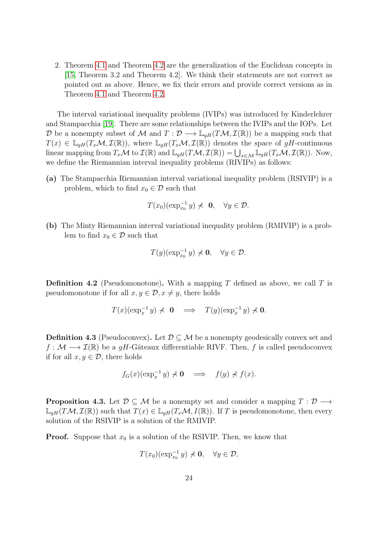2. Theorem [4.1](#page-19-1) and Theorem [4.2](#page-20-2) are the generalization of the Euclidean concepts in [\[15,](#page-26-4) Theorem 3.2 and Theorem 4.2]. We think their statements are not correct as pointed out as above. Hence, we fix their errors and provide correct versions as in Theorem [4.1](#page-19-1) and Theorem [4.2.](#page-20-2)

The interval variational inequality problems (IVIPs) was introduced by Kinderlehrer and Stampacchia [\[19\]](#page-26-0). There are some relationships between the IVIPs and the IOPs. Let D be a nonempty subset of M and  $T: \mathcal{D} \longrightarrow \mathbb{L}_{gH}(T\mathcal{M}, \mathcal{I}(\mathbb{R}))$  be a mapping such that  $T(x) \in \mathbb{L}_{qH}(T_x\mathcal{M}, \mathcal{I}(\mathbb{R}))$ , where  $\mathbb{L}_{qH}(T_x\mathcal{M}, \mathcal{I}(\mathbb{R}))$  denotes the space of  $qH$ -continuous linear mapping from  $T_x\mathcal{M}$  to  $\mathcal{I}(\mathbb{R})$  and  $\mathbb{L}_{gH}(T\mathcal{M}, \mathcal{I}(\mathbb{R})) = \bigcup_{x \in \mathcal{M}} \mathbb{L}_{gH}(T_x\mathcal{M}, \mathcal{I}(\mathbb{R}))$ . Now, we define the Riemannian interval inequality problems (RIVIPs) as follows:

(a) The Stampacchia Riemannian interval variational inequality problem (RSIVIP) is a problem, which to find  $x_0 \in \mathcal{D}$  such that

$$
T(x_0)(\exp_{x_0}^{-1}y) \nless 0, \quad \forall y \in \mathcal{D}.
$$

(b) The Minty Riemannian interval variational inequality problem (RMIVIP) is a problem to find  $x_0 \in \mathcal{D}$  such that

$$
T(y)(\exp_{x_0}^{-1}y)\nprec{\bf 0},\quad \forall y\in\mathcal{D}.
$$

**Definition 4.2** (Pseudomonotone). With a mapping T defined as above, we call T is pseudomonotone if for all  $x, y \in \mathcal{D}, x \neq y$ , there holds

$$
T(x)(\exp_x^{-1}y) \nless 0 \implies T(y)(\exp_x^{-1}y) \nless 0.
$$

**Definition 4.3** (Pseudoconvex). Let  $\mathcal{D} \subset \mathcal{M}$  be a nonempty geodesically convex set and  $f : \mathcal{M} \longrightarrow \mathcal{I}(\mathbb{R})$  be a gH-Gâteaux differentiable RIVF. Then, f is called pseudoconvex if for all  $x, y \in \mathcal{D}$ , there holds

$$
f_G(x)(\exp_x^{-1} y) \nless 0 \implies f(y) \nless f(x).
$$

**Proposition 4.3.** Let  $\mathcal{D} \subseteq \mathcal{M}$  be a nonempty set and consider a mapping  $T : \mathcal{D} \longrightarrow$  $\mathbb{L}_{qH}(T\mathcal{M},\mathcal{I}(\mathbb{R}))$  such that  $T(x) \in \mathbb{L}_{qH}(T_x\mathcal{M},I(\mathbb{R}))$ . If T is pseudomonotone, then every solution of the RSIVIP is a solution of the RMIVIP.

**Proof.** Suppose that  $x_0$  is a solution of the RSIVIP. Then, we know that

$$
T(x_0)(\exp_{x_0}^{-1}y)\nless 0, \quad \forall y\in\mathcal{D},
$$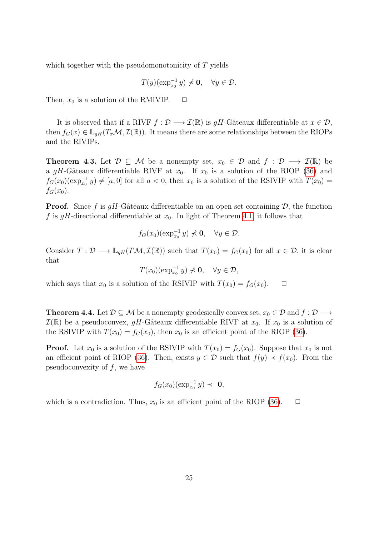which together with the pseudomonotonicity of T yields

$$
T(y)(\exp_{x_0}^{-1}y)\nprec{\bf 0},\quad \forall y\in\mathcal{D}.
$$

Then,  $x_0$  is a solution of the RMIVIP.  $\Box$ 

It is observed that if a RIVF  $f : \mathcal{D} \longrightarrow \mathcal{I}(\mathbb{R})$  is  $qH$ -Gâteaux differentiable at  $x \in \mathcal{D}$ , then  $f_G(x) \in \mathbb{L}_{qH}(T_x\mathcal{M}, \mathcal{I}(\mathbb{R}))$ . It means there are some relationships between the RIOPs and the RIVIPs.

**Theorem 4.3.** Let  $\mathcal{D} \subseteq \mathcal{M}$  be a nonempty set,  $x_0 \in \mathcal{D}$  and  $f : \mathcal{D} \longrightarrow \mathcal{I}(\mathbb{R})$  be a gH-Gâteaux differentiable RIVF at  $x_0$ . If  $x_0$  is a solution of the RIOP [\(36\)](#page-18-0) and  $f_G(x_0)(\exp_{x_0}^{-1} y) \neq [a, 0]$  for all  $a < 0$ , then  $x_0$  is a solution of the RSIVIP with  $T(x_0)$  $f_G(x_0)$ .

**Proof.** Since f is  $gH$ -Gâteaux differentiable on an open set containing  $D$ , the function f is gH-directional differentiable at  $x_0$ . In light of Theorem [4.1,](#page-19-1) it follows that

$$
f_G(x_0)(\exp_{x_0}^{-1}y)\nless 0, \quad \forall y\in\mathcal{D}.
$$

Consider  $T: \mathcal{D} \longrightarrow \mathbb{L}_{gH}(T\mathcal{M}, \mathcal{I}(\mathbb{R}))$  such that  $T(x_0) = f_G(x_0)$  for all  $x \in \mathcal{D}$ , it is clear that

 $T(x_0)(\exp_{x_0}^{-1}y) \nless 0, \quad \forall y \in \mathcal{D},$ 

which says that  $x_0$  is a solution of the RSIVIP with  $T(x_0) = f_G(x_0)$ .  $\Box$ 

**Theorem 4.4.** Let  $\mathcal{D} \subseteq \mathcal{M}$  be a nonempty geodesically convex set,  $x_0 \in \mathcal{D}$  and  $f : \mathcal{D} \longrightarrow$  $\mathcal{I}(\mathbb{R})$  be a pseudoconvex, gH-Gâteaux differentiable RIVF at  $x_0$ . If  $x_0$  is a solution of the RSIVIP with  $T(x_0) = f_G(x_0)$ , then  $x_0$  is an efficient point of the RIOP [\(36\)](#page-18-0).

**Proof.** Let  $x_0$  is a solution of the RSIVIP with  $T(x_0) = f_G(x_0)$ . Suppose that  $x_0$  is not an efficient point of RIOP [\(36\)](#page-18-0). Then, exists  $y \in \mathcal{D}$  such that  $f(y) \prec f(x_0)$ . From the pseudoconvexity of  $f$ , we have

$$
f_G(x_0)(\exp_{x_0}^{-1}y) \prec \mathbf{0},
$$

which is a contradiction. Thus,  $x_0$  is an efficient point of the RIOP [\(36\)](#page-18-0).  $\Box$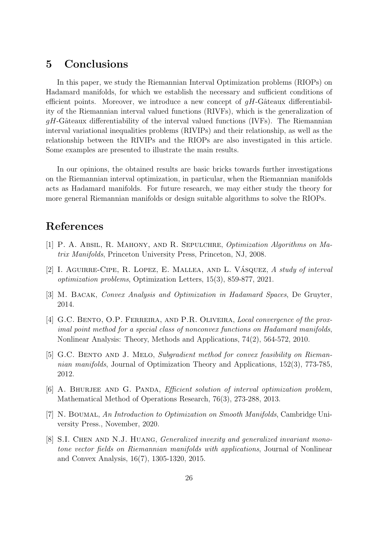### 5 Conclusions

In this paper, we study the Riemannian Interval Optimization problems (RIOPs) on Hadamard manifolds, for which we establish the necessary and sufficient conditions of efficient points. Moreover, we introduce a new concept of  $qH$ -Gâteaux differentiability of the Riemannian interval valued functions (RIVFs), which is the generalization of  $gH$ -Gâteaux differentiability of the interval valued functions (IVFs). The Riemannian interval variational inequalities problems (RIVIPs) and their relationship, as well as the relationship between the RIVIPs and the RIOPs are also investigated in this article. Some examples are presented to illustrate the main results.

In our opinions, the obtained results are basic bricks towards further investigations on the Riemannian interval optimization, in particular, when the Riemannian manifolds acts as Hadamard manifolds. For future research, we may either study the theory for more general Riemannian manifolds or design suitable algorithms to solve the RIOPs.

## References

- <span id="page-25-2"></span>[1] P. A. Absil, R. Mahony, and R. Sepulchre, Optimization Algorithms on Matrix Manifolds, Princeton University Press, Princeton, NJ, 2008.
- <span id="page-25-0"></span>[2] I. AGUIRRE-CIPE, R. LOPEZ, E. MALLEA, AND L. VÁSQUEZ, A study of interval optimization problems, Optimization Letters, 15(3), 859-877, 2021.
- <span id="page-25-6"></span>[3] M. Bacak, Convex Analysis and Optimization in Hadamard Spaces, De Gruyter, 2014.
- <span id="page-25-3"></span>[4] G.C. BENTO, O.P. FERREIRA, AND P.R. OLIVEIRA, Local convergence of the proximal point method for a special class of nonconvex functions on Hadamard manifolds, Nonlinear Analysis: Theory, Methods and Applications, 74(2), 564-572, 2010.
- <span id="page-25-4"></span>[5] G.C. Bento and J. Melo, Subgradient method for convex feasibility on Riemannian manifolds, Journal of Optimization Theory and Applications, 152(3), 773-785, 2012.
- <span id="page-25-1"></span>[6] A. BHURJEE AND G. PANDA, *Efficient solution of interval optimization problem*, Mathematical Method of Operations Research, 76(3), 273-288, 2013.
- <span id="page-25-5"></span>[7] N. Boumal, An Introduction to Optimization on Smooth Manifolds, Cambridge University Press., November, 2020.
- [8] S.I. CHEN AND N.J. HUANG, *Generalized invexity and generalized invariant mono*tone vector fields on Riemannian manifolds with applications, Journal of Nonlinear and Convex Analysis, 16(7), 1305-1320, 2015.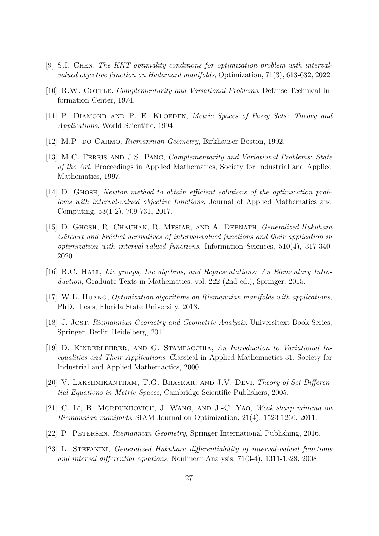- <span id="page-26-3"></span>[9] S.I. Chen, The KKT optimality conditions for optimization problem with intervalvalued objective function on Hadamard manifolds, Optimization, 71(3), 613-632, 2022.
- <span id="page-26-1"></span>[10] R.W. COTTLE, *Complementarity and Variational Problems*, Defense Technical Information Center, 1974.
- <span id="page-26-10"></span>[11] P. DIAMOND AND P. E. KLOEDEN, Metric Spaces of Fuzzy Sets: Theory and Applications, World Scientific, 1994.
- <span id="page-26-7"></span>[12] M.P. do Carmo, Riemannian Geometry, Birkhäuser Boston, 1992.
- <span id="page-26-2"></span>[13] M.C. FERRIS AND J.S. PANG, Complementarity and Variational Problems: State of the Art, Proceedings in Applied Mathematics, Society for Industrial and Applied Mathematics, 1997.
- <span id="page-26-12"></span>[14] D. Ghosh, Newton method to obtain efficient solutions of the optimization problems with interval-valued objective functions, Journal of Applied Mathematics and Computing, 53(1-2), 709-731, 2017.
- <span id="page-26-4"></span>[15] D. GHOSH, R. CHAUHAN, R. MESIAR, AND A. DEBNATH, Generalized Hukuhara Gâteaux and Fréchet derivatives of interval-valued functions and their application in optimization with interval-valued functions, Information Sciences, 510(4), 317-340, 2020.
- <span id="page-26-14"></span>[16] B.C. HALL, Lie groups, Lie algebras, and Representations: An Elementary Introduction, Graduate Texts in Mathematics, vol. 222 (2nd ed.), Springer, 2015.
- <span id="page-26-6"></span>[17] W.L. Huang, Optimization algorithms on Riemannian manifolds with applications, PhD. thesis, Florida State University, 2013.
- <span id="page-26-8"></span>[18] J. Jost, Riemannian Geometry and Geometric Analysis, Universitext Book Series, Springer, Berlin Heidelberg, 2011.
- <span id="page-26-0"></span>[19] D. Kinderlehrer, and G. Stampacchia, An Introduction to Variational Inequalities and Their Applications, Classical in Applied Mathemactics 31, Society for Industrial and Applied Mathemactics, 2000.
- <span id="page-26-11"></span>[20] V. LAKSHMIKANTHAM, T.G. BHASKAR, AND J.V. DEVI, Theory of Set Differential Equations in Metric Spaces, Cambridge Scientific Publishers, 2005.
- <span id="page-26-13"></span>[21] C. Li, B. MORDUKHOVICH, J. WANG, AND J.-C. YAO, Weak sharp minima on Riemannian manifolds, SIAM Journal on Optimization, 21(4), 1523-1260, 2011.
- <span id="page-26-9"></span>[22] P. Petersen, Riemannian Geometry, Springer International Publishing, 2016.
- <span id="page-26-5"></span>[23] L. STEFANINI, *Generalized Hukuhara differentiability of interval-valued functions* and interval differential equations, Nonlinear Analysis, 71(3-4), 1311-1328, 2008.